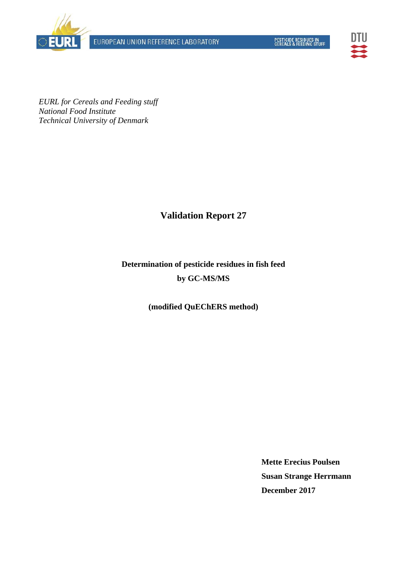



*EURL for Cereals and Feeding stuff National Food Institute Technical University of Denmark* 

# **Validation Report 27**

# **Determination of pesticide residues in fish feed by GC-MS/MS**

**(modified QuEChERS method)** 

**Mette Erecius Poulsen Susan Strange Herrmann December 2017**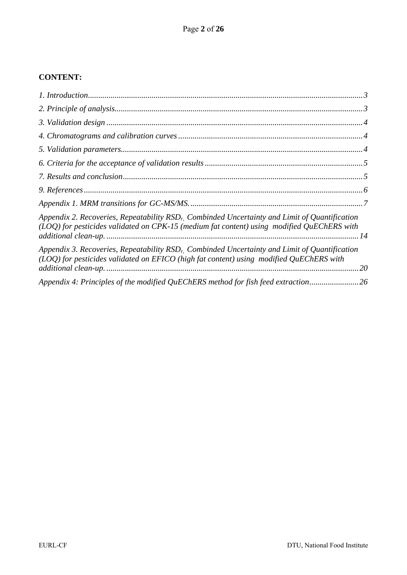### **CONTENT:**

| Appendix 2. Recoveries, Repeatability $RSD_r$ . Combinded Uncertainty and Limit of Quantification<br>(LOQ) for pesticides validated on CPK-15 (medium fat content) using modified QuEChERS with   |  |
|---------------------------------------------------------------------------------------------------------------------------------------------------------------------------------------------------|--|
| Appendix 3. Recoveries, Repeatability $RSDr$ . Combinded Uncertainty and Limit of Quantification<br>(LOQ) for pesticides validated on EFICO (high fat content) using modified QuEChERS with<br>20 |  |
| Appendix 4: Principles of the modified QuEChERS method for fish feed extraction26                                                                                                                 |  |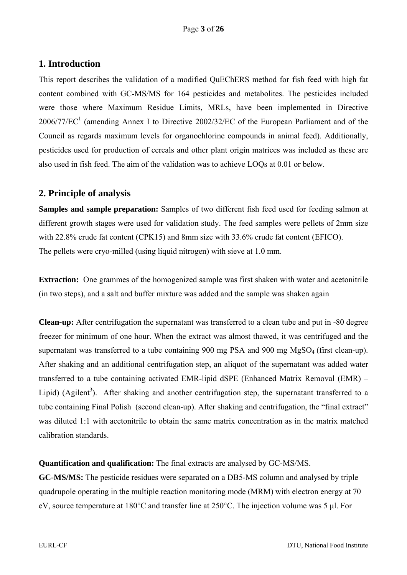# **1. Introduction**

This report describes the validation of a modified QuEChERS method for fish feed with high fat content combined with GC-MS/MS for 164 pesticides and metabolites. The pesticides included were those where Maximum Residue Limits, MRLs, have been implemented in Directive  $2006/77/EC<sup>1</sup>$  (amending Annex I to Directive 2002/32/EC of the European Parliament and of the Council as regards maximum levels for organochlorine compounds in animal feed). Additionally, pesticides used for production of cereals and other plant origin matrices was included as these are also used in fish feed. The aim of the validation was to achieve LOQs at 0.01 or below.

# **2. Principle of analysis**

**Samples and sample preparation:** Samples of two different fish feed used for feeding salmon at different growth stages were used for validation study. The feed samples were pellets of 2mm size with 22.8% crude fat content (CPK15) and 8mm size with 33.6% crude fat content (EFICO). The pellets were cryo-milled (using liquid nitrogen) with sieve at 1.0 mm.

**Extraction:** One grammes of the homogenized sample was first shaken with water and acetonitrile (in two steps), and a salt and buffer mixture was added and the sample was shaken again

**Clean-up:** After centrifugation the supernatant was transferred to a clean tube and put in -80 degree freezer for minimum of one hour. When the extract was almost thawed, it was centrifuged and the supernatant was transferred to a tube containing 900 mg PSA and 900 mg MgSO<sub>4</sub> (first clean-up). After shaking and an additional centrifugation step, an aliquot of the supernatant was added water transferred to a tube containing activated EMR-lipid dSPE (Enhanced Matrix Removal (EMR) – Lipid) (Agilent<sup>3</sup>). After shaking and another centrifugation step, the supernatant transferred to a tube containing Final Polish (second clean-up). After shaking and centrifugation, the "final extract" was diluted 1:1 with acetonitrile to obtain the same matrix concentration as in the matrix matched calibration standards.

**Quantification and qualification:** The final extracts are analysed by GC-MS/MS.

**GC-MS/MS:** The pesticide residues were separated on a DB5-MS column and analysed by triple quadrupole operating in the multiple reaction monitoring mode (MRM) with electron energy at 70 eV, source temperature at 180°C and transfer line at 250°C. The injection volume was 5 μl. For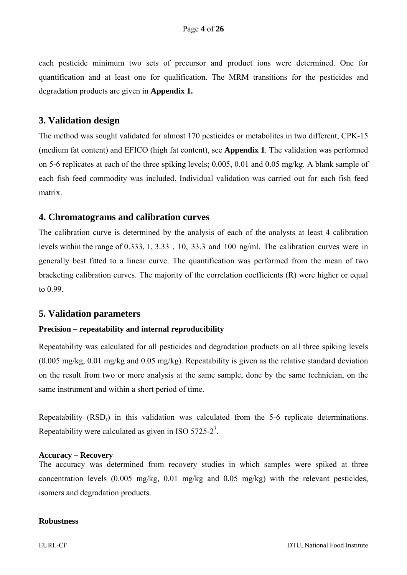each pesticide minimum two sets of precursor and product ions were determined. One for quantification and at least one for qualification. The MRM transitions for the pesticides and degradation products are given in **Appendix 1.**

### **3. Validation design**

The method was sought validated for almost 170 pesticides or metabolites in two different, CPK-15 (medium fat content) and EFICO (high fat content), see **Appendix 1**. The validation was performed on 5-6 replicates at each of the three spiking levels; 0.005, 0.01 and 0.05 mg/kg. A blank sample of each fish feed commodity was included. Individual validation was carried out for each fish feed matrix.

### **4. Chromatograms and calibration curves**

The calibration curve is determined by the analysis of each of the analysts at least 4 calibration levels within the range of 0.333, 1, 3.33 , 10, 33.3 and 100 ng/ml. The calibration curves were in generally best fitted to a linear curve. The quantification was performed from the mean of two bracketing calibration curves. The majority of the correlation coefficients (R) were higher or equal to 0.99.

#### **5. Validation parameters**

#### **Precision – repeatability and internal reproducibility**

Repeatability was calculated for all pesticides and degradation products on all three spiking levels (0.005 mg/kg, 0.01 mg/kg and 0.05 mg/kg). Repeatability is given as the relative standard deviation on the result from two or more analysis at the same sample, done by the same technician, on the same instrument and within a short period of time.

Repeatability (RSD<sub>r</sub>) in this validation was calculated from the 5-6 replicate determinations. Repeatability were calculated as given in ISO 5725-2<sup>3</sup>.

#### **Accuracy – Recovery**

The accuracy was determined from recovery studies in which samples were spiked at three concentration levels (0.005 mg/kg, 0.01 mg/kg and 0.05 mg/kg) with the relevant pesticides, isomers and degradation products.

#### **Robustness**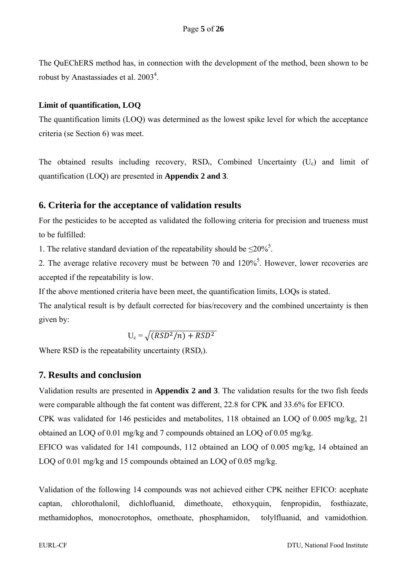The QuEChERS method has, in connection with the development of the method, been shown to be robust by Anastassiades et al. 2003<sup>4</sup>.

#### **Limit of quantification, LOQ**

The quantification limits (LOQ) was determined as the lowest spike level for which the acceptance criteria (se Section 6) was meet.

The obtained results including recovery,  $RSD_r$ , Combined Uncertainty (U<sub>c</sub>) and limit of quantification (LOQ) are presented in **Appendix 2 and 3**.

### **6. Criteria for the acceptance of validation results**

For the pesticides to be accepted as validated the following criteria for precision and trueness must to be fulfilled:

1. The relative standard deviation of the repeatability should be  $\leq 20\%$ <sup>5</sup>.

2. The average relative recovery must be between 70 and  $120\%$ <sup>5</sup>. However, lower recoveries are accepted if the repeatability is low.

If the above mentioned criteria have been meet, the quantification limits, LOQs is stated.

The analytical result is by default corrected for bias/recovery and the combined uncertainty is then given by:

 $U_c = \sqrt{(RSD^2/n) + RSD^2}$ 

Where RSD is the repeatability uncertainty  $(RSD<sub>r</sub>)$ .

### **7. Results and conclusion**

Validation results are presented in **Appendix 2 and 3**. The validation results for the two fish feeds were comparable although the fat content was different, 22.8 for CPK and 33.6% for EFICO. CPK was validated for 146 pesticides and metabolites, 118 obtained an LOQ of 0.005 mg/kg, 21 obtained an LOQ of 0.01 mg/kg and 7 compounds obtained an LOQ of 0.05 mg/kg. EFICO was validated for 141 compounds, 112 obtained an LOQ of 0.005 mg/kg, 14 obtained an LOQ of 0.01 mg/kg and 15 compounds obtained an LOQ of 0.05 mg/kg.

Validation of the following 14 compounds was not achieved either CPK neither EFICO: acephate captan, chlorothalonil, dichlofluanid, dimethoate, ethoxyquin, fenpropidin, fosthiazate, methamidophos, monocrotophos, omethoate, phosphamidon, tolylfluanid, and vamidothion.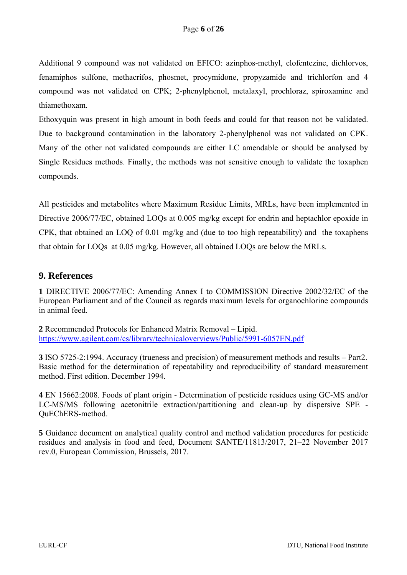Additional 9 compound was not validated on EFICO: azinphos-methyl, clofentezine, dichlorvos, fenamiphos sulfone, methacrifos, phosmet, procymidone, propyzamide and trichlorfon and 4 compound was not validated on CPK; 2-phenylphenol, metalaxyl, prochloraz, spiroxamine and thiamethoxam.

Ethoxyquin was present in high amount in both feeds and could for that reason not be validated. Due to background contamination in the laboratory 2-phenylphenol was not validated on CPK. Many of the other not validated compounds are either LC amendable or should be analysed by Single Residues methods. Finally, the methods was not sensitive enough to validate the toxaphen compounds.

All pesticides and metabolites where Maximum Residue Limits, MRLs, have been implemented in Directive 2006/77/EC, obtained LOQs at 0.005 mg/kg except for endrin and heptachlor epoxide in CPK, that obtained an LOQ of 0.01 mg/kg and (due to too high repeatability) and the toxaphens that obtain for LOQs at 0.05 mg/kg. However, all obtained LOQs are below the MRLs.

# **9. References**

**1** DIRECTIVE 2006/77/EC: Amending Annex I to COMMISSION Directive 2002/32/EC of the European Parliament and of the Council as regards maximum levels for organochlorine compounds in animal feed.

**2** Recommended Protocols for Enhanced Matrix Removal – Lipid. https://www.agilent.com/cs/library/technicaloverviews/Public/5991-6057EN.pdf

**3** ISO 5725-2:1994. Accuracy (trueness and precision) of measurement methods and results – Part2. Basic method for the determination of repeatability and reproducibility of standard measurement method. First edition. December 1994.

**4** EN 15662:2008. Foods of plant origin - Determination of pesticide residues using GC-MS and/or LC-MS/MS following acetonitrile extraction/partitioning and clean-up by dispersive SPE - QuEChERS-method.

**5** Guidance document on analytical quality control and method validation procedures for pesticide residues and analysis in food and feed, Document SANTE/11813/2017, 21–22 November 2017 rev.0, European Commission, Brussels, 2017.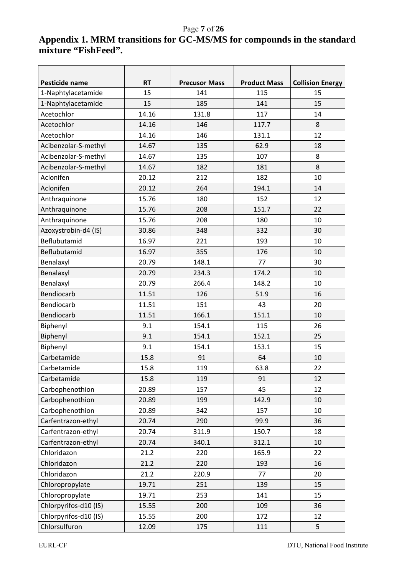# Page **7** of **26**

# **Appendix 1. MRM transitions for GC-MS/MS for compounds in the standard mixture "FishFeed".**

| Pesticide name        | <b>RT</b> | <b>Precusor Mass</b><br><b>Product Mass</b><br><b>Collision Energy</b> |       |    |  |  |  |
|-----------------------|-----------|------------------------------------------------------------------------|-------|----|--|--|--|
| 1-Naphtylacetamide    | 15        | 141                                                                    | 115   | 15 |  |  |  |
| 1-Naphtylacetamide    | 15        | 185                                                                    | 141   | 15 |  |  |  |
| Acetochlor            | 14.16     | 131.8                                                                  | 117   | 14 |  |  |  |
| Acetochlor            | 14.16     | 146                                                                    | 117.7 | 8  |  |  |  |
| Acetochlor            | 14.16     | 146                                                                    | 131.1 | 12 |  |  |  |
| Acibenzolar-S-methyl  | 14.67     | 135                                                                    | 62.9  | 18 |  |  |  |
| Acibenzolar-S-methyl  | 14.67     | 135                                                                    | 107   | 8  |  |  |  |
| Acibenzolar-S-methyl  | 14.67     | 182                                                                    | 181   | 8  |  |  |  |
| Aclonifen             | 20.12     | 212                                                                    | 182   | 10 |  |  |  |
| Aclonifen             | 20.12     | 264                                                                    | 194.1 | 14 |  |  |  |
| Anthraquinone         | 15.76     | 180                                                                    | 152   | 12 |  |  |  |
| Anthraquinone         | 15.76     | 208                                                                    | 151.7 | 22 |  |  |  |
| Anthraquinone         | 15.76     | 208                                                                    | 180   | 10 |  |  |  |
| Azoxystrobin-d4 (IS)  | 30.86     | 348                                                                    | 332   | 30 |  |  |  |
| Beflubutamid          | 16.97     | 221                                                                    | 193   | 10 |  |  |  |
| Beflubutamid          | 16.97     | 355                                                                    | 176   | 10 |  |  |  |
| Benalaxyl             | 20.79     | 148.1                                                                  | 77    | 30 |  |  |  |
| Benalaxyl             | 20.79     | 234.3                                                                  | 174.2 | 10 |  |  |  |
| Benalaxyl             | 20.79     | 266.4                                                                  | 148.2 | 10 |  |  |  |
| Bendiocarb            | 11.51     | 126                                                                    | 51.9  | 16 |  |  |  |
| Bendiocarb            | 11.51     | 151                                                                    | 43    | 20 |  |  |  |
| Bendiocarb            | 11.51     | 166.1                                                                  | 151.1 | 10 |  |  |  |
| Biphenyl              | 9.1       | 154.1                                                                  | 115   | 26 |  |  |  |
| Biphenyl              | 9.1       | 154.1                                                                  | 152.1 | 25 |  |  |  |
| Biphenyl              | 9.1       | 154.1                                                                  | 153.1 | 15 |  |  |  |
| Carbetamide           | 15.8      | 91                                                                     | 64    | 10 |  |  |  |
| Carbetamide           | 15.8      | 119                                                                    | 63.8  | 22 |  |  |  |
| Carbetamide           | 15.8      | 119                                                                    | 91    | 12 |  |  |  |
| Carbophenothion       | 20.89     | 157                                                                    | 45    | 12 |  |  |  |
| Carbophenothion       | 20.89     | 199                                                                    | 142.9 | 10 |  |  |  |
| Carbophenothion       | 20.89     | 342                                                                    | 157   | 10 |  |  |  |
| Carfentrazon-ethyl    | 20.74     | 290                                                                    | 99.9  | 36 |  |  |  |
| Carfentrazon-ethyl    | 20.74     | 311.9                                                                  | 150.7 | 18 |  |  |  |
| Carfentrazon-ethyl    | 20.74     | 340.1                                                                  | 312.1 | 10 |  |  |  |
| Chloridazon           | 21.2      | 220                                                                    | 165.9 | 22 |  |  |  |
| Chloridazon           | 21.2      | 220                                                                    | 193   | 16 |  |  |  |
| Chloridazon           | 21.2      | 220.9                                                                  | 77    | 20 |  |  |  |
| Chloropropylate       | 19.71     | 251                                                                    | 139   | 15 |  |  |  |
| Chloropropylate       | 19.71     | 253                                                                    | 141   | 15 |  |  |  |
| Chlorpyrifos-d10 (IS) | 15.55     | 200                                                                    | 109   | 36 |  |  |  |
| Chlorpyrifos-d10 (IS) | 15.55     | 200                                                                    | 172   | 12 |  |  |  |
| Chlorsulfuron         | 12.09     | 175                                                                    | 111   | 5  |  |  |  |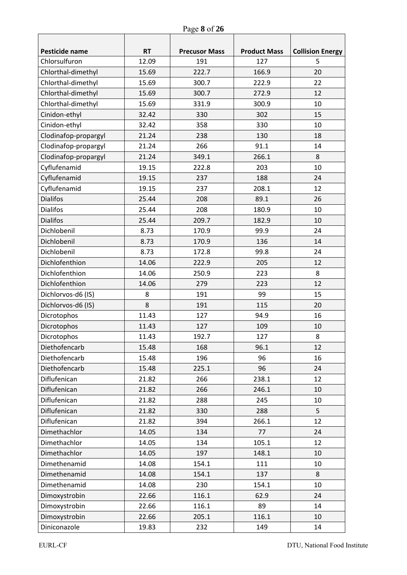| Pesticide name       | <b>RT</b> | <b>Precusor Mass</b> | <b>Product Mass</b> | <b>Collision Energy</b> |
|----------------------|-----------|----------------------|---------------------|-------------------------|
| Chlorsulfuron        | 12.09     | 191                  | 127                 | 5                       |
| Chlorthal-dimethyl   | 15.69     | 222.7                | 166.9               | 20                      |
| Chlorthal-dimethyl   | 15.69     | 300.7                | 222.9               | 22                      |
| Chlorthal-dimethyl   | 15.69     | 300.7                | 272.9               | 12                      |
| Chlorthal-dimethyl   | 15.69     | 331.9                | 300.9               | 10                      |
| Cinidon-ethyl        | 32.42     | 330                  | 302                 | 15                      |
| Cinidon-ethyl        | 32.42     | 358                  | 330                 | 10                      |
| Clodinafop-propargyl | 21.24     | 238                  | 130                 | 18                      |
| Clodinafop-propargyl | 21.24     | 266                  | 91.1                | 14                      |
| Clodinafop-propargyl | 21.24     | 349.1                | 266.1               | 8                       |
| Cyflufenamid         | 19.15     | 222.8                | 203                 | 10                      |
| Cyflufenamid         | 19.15     | 237                  | 188                 | 24                      |
| Cyflufenamid         | 19.15     | 237                  | 208.1               | 12                      |
| <b>Dialifos</b>      | 25.44     | 208                  | 89.1                | 26                      |
| <b>Dialifos</b>      | 25.44     | 208                  | 180.9               | 10                      |
| <b>Dialifos</b>      | 25.44     | 209.7                | 182.9               | 10                      |
| Dichlobenil          | 8.73      | 170.9                | 99.9                | 24                      |
| Dichlobenil          | 8.73      | 170.9                | 136                 | 14                      |
| Dichlobenil          | 8.73      | 172.8                | 99.8                | 24                      |
| Dichlofenthion       | 14.06     | 222.9                | 205                 | 12                      |
| Dichlofenthion       | 14.06     | 250.9                | 223                 | 8                       |
| Dichlofenthion       | 14.06     | 279                  | 223                 | 12                      |
| Dichlorvos-d6 (IS)   | 8         | 191                  | 99                  | 15                      |
| Dichlorvos-d6 (IS)   | 8         | 191                  | 115                 | 20                      |
| Dicrotophos          | 11.43     | 127                  | 94.9                | 16                      |
| Dicrotophos          | 11.43     | 127                  | 109                 | 10                      |
| Dicrotophos          | 11.43     | 192.7                | 127                 | 8                       |
| Diethofencarb        | 15.48     | 168                  | 96.1                | 12                      |
| Diethofencarb        | 15.48     | 196                  | 96                  | 16                      |
| Diethofencarb        | 15.48     | 225.1                | 96                  | 24                      |
| Diflufenican         | 21.82     | 266                  | 238.1               | 12                      |
| Diflufenican         | 21.82     | 266                  | 246.1               | 10                      |
| Diflufenican         | 21.82     | 288                  | 245                 | 10                      |
| Diflufenican         | 21.82     | 330                  | 288                 | 5                       |
| Diflufenican         | 21.82     | 394                  | 266.1               | 12                      |
| Dimethachlor         | 14.05     | 134                  | 77                  | 24                      |
| Dimethachlor         | 14.05     | 134                  | 105.1               | 12                      |
| Dimethachlor         | 14.05     | 197                  | 148.1               | 10                      |
| Dimethenamid         | 14.08     | 154.1                | 111                 | 10                      |
| Dimethenamid         | 14.08     | 154.1                | 137                 | 8                       |
| Dimethenamid         | 14.08     | 230                  | 154.1               | 10                      |
| Dimoxystrobin        | 22.66     | 116.1                | 62.9                | 24                      |
| Dimoxystrobin        | 22.66     | 116.1                | 89                  | 14                      |
| Dimoxystrobin        | 22.66     | 205.1                | 116.1               | 10                      |
| Diniconazole         | 19.83     | 232                  | 149                 | 14                      |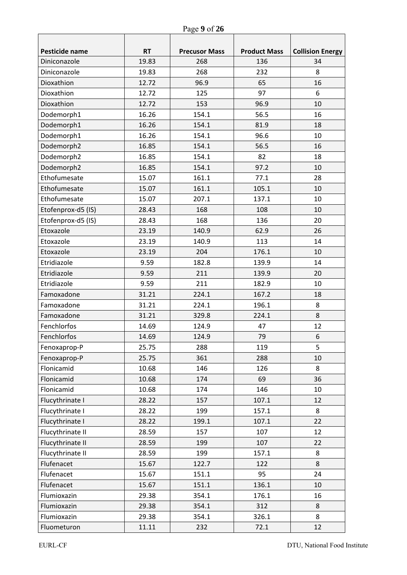| Pesticide name     | <b>RT</b> | <b>Precusor Mass</b> | <b>Product Mass</b> | <b>Collision Energy</b> |  |
|--------------------|-----------|----------------------|---------------------|-------------------------|--|
| Diniconazole       | 19.83     | 268                  | 136                 | 34                      |  |
| Diniconazole       | 19.83     | 268                  | 232                 | 8                       |  |
| Dioxathion         | 12.72     | 96.9                 | 65                  | 16                      |  |
| Dioxathion         | 12.72     | 125                  | 97                  | 6                       |  |
| Dioxathion         | 12.72     | 153                  | 96.9                | 10                      |  |
| Dodemorph1         | 16.26     | 154.1                | 56.5                | 16                      |  |
| Dodemorph1         | 16.26     | 154.1                | 81.9                | 18                      |  |
| Dodemorph1         | 16.26     | 154.1                | 96.6                | 10                      |  |
| Dodemorph2         | 16.85     | 154.1                | 56.5                | 16                      |  |
| Dodemorph2         | 16.85     | 154.1                | 82                  | 18                      |  |
| Dodemorph2         | 16.85     | 154.1                | 97.2                | 10                      |  |
| Ethofumesate       | 15.07     | 161.1                | 77.1                | 28                      |  |
| Ethofumesate       | 15.07     | 161.1                | 105.1               | 10                      |  |
| Ethofumesate       | 15.07     | 207.1                | 137.1               | 10                      |  |
| Etofenprox-d5 (IS) | 28.43     | 168                  | 108                 | 10                      |  |
| Etofenprox-d5 (IS) | 28.43     | 168                  | 136                 | 20                      |  |
| Etoxazole          | 23.19     | 140.9                | 62.9                | 26                      |  |
| Etoxazole          | 23.19     | 140.9                | 113                 | 14                      |  |
| Etoxazole          | 23.19     | 204                  | 176.1               | 10                      |  |
| Etridiazole        | 9.59      | 182.8                | 139.9               | 14                      |  |
| Etridiazole        | 9.59      | 211                  | 139.9               | 20                      |  |
| Etridiazole        | 9.59      | 211                  | 182.9               | 10                      |  |
| Famoxadone         | 31.21     | 224.1                | 167.2               | 18                      |  |
| Famoxadone         | 31.21     | 224.1                | 196.1               | 8                       |  |
| Famoxadone         | 31.21     | 329.8                | 224.1               | 8                       |  |
| Fenchlorfos        | 14.69     | 124.9                | 47                  | 12                      |  |
| Fenchlorfos        | 14.69     | 124.9                | 79                  | 6                       |  |
| Fenoxaprop-P       | 25.75     | 288                  | 119                 | 5                       |  |
| Fenoxaprop-P       | 25.75     | 361                  | 288                 | 10                      |  |
| Flonicamid         | 10.68     | 146                  | 126                 | 8                       |  |
| Flonicamid         | 10.68     | 174                  | 69                  | 36                      |  |
| Flonicamid         | 10.68     | 174                  | 146                 | 10                      |  |
| Flucythrinate I    | 28.22     | 157                  | 107.1               | 12                      |  |
| Flucythrinate I    | 28.22     | 199                  | 157.1               | 8                       |  |
| Flucythrinate I    | 28.22     | 199.1                | 107.1               | 22                      |  |
| Flucythrinate II   | 28.59     | 157                  | 107                 | 12                      |  |
| Flucythrinate II   | 28.59     | 199                  | 107                 | 22                      |  |
| Flucythrinate II   | 28.59     | 199                  | 157.1               | 8                       |  |
| Flufenacet         | 15.67     | 122.7                | 122                 | 8                       |  |
| Flufenacet         | 15.67     | 151.1                | 95                  | 24                      |  |
| Flufenacet         | 15.67     | 151.1                | 136.1               | 10                      |  |
| Flumioxazin        | 29.38     | 354.1                | 176.1               | 16                      |  |
| Flumioxazin        | 29.38     | 354.1                | 312                 | 8                       |  |
| Flumioxazin        | 29.38     | 354.1                | 326.1               | 8                       |  |
| Fluometuron        | 11.11     | 232                  | 72.1                | 12                      |  |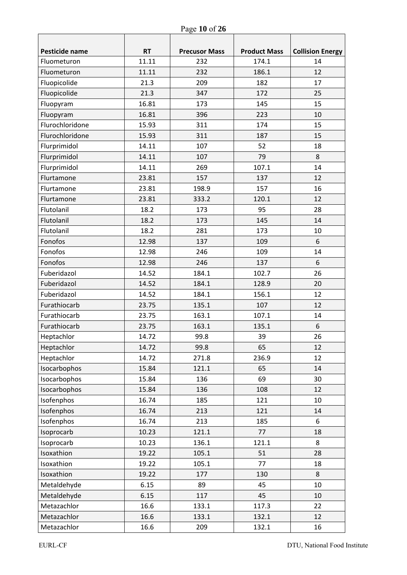| Pesticide name  | <b>RT</b><br>11.11 | <b>Precusor Mass</b> | <b>Product Mass</b><br>174.1 | <b>Collision Energy</b><br>14 |
|-----------------|--------------------|----------------------|------------------------------|-------------------------------|
| Fluometuron     |                    | 232                  |                              |                               |
| Fluometuron     | 11.11              | 232                  | 186.1                        | 12                            |
| Fluopicolide    | 21.3               | 209                  | 182                          | 17                            |
| Fluopicolide    | 21.3               | 347                  | 172                          | 25                            |
| Fluopyram       | 16.81              | 173                  | 145                          | 15                            |
| Fluopyram       | 16.81              | 396                  | 223                          | 10                            |
| Flurochloridone | 15.93              | 311                  | 174                          | 15                            |
| Flurochloridone | 15.93              | 311                  | 187                          | 15                            |
| Flurprimidol    | 14.11              | 107                  | 52                           | 18                            |
| Flurprimidol    | 14.11              | 107                  | 79                           | 8                             |
| Flurprimidol    | 14.11              | 269                  | 107.1                        | 14                            |
| Flurtamone      | 23.81              | 157                  | 137                          | 12                            |
| Flurtamone      | 23.81              | 198.9                | 157                          | 16                            |
| Flurtamone      | 23.81              | 333.2                | 120.1                        | 12                            |
| Flutolanil      | 18.2               | 173                  | 95                           | 28                            |
| Flutolanil      | 18.2               | 173                  | 145                          | 14                            |
| Flutolanil      | 18.2               | 281                  | 173                          | 10                            |
| Fonofos         | 12.98              | 137                  | 109                          | 6                             |
| Fonofos         | 12.98              | 246                  | 109                          | 14                            |
| Fonofos         | 12.98              | 246                  | 137                          | 6                             |
| Fuberidazol     | 14.52              | 184.1                | 102.7                        | 26                            |
| Fuberidazol     | 14.52              | 184.1                | 128.9                        | 20                            |
| Fuberidazol     | 14.52              | 184.1                | 156.1                        | 12                            |
| Furathiocarb    | 23.75              | 135.1                | 107                          | 12                            |
| Furathiocarb    | 23.75              | 163.1                | 107.1                        | 14                            |
| Furathiocarb    | 23.75              | 163.1                | 135.1                        | 6                             |
| Heptachlor      | 14.72              | 99.8                 | 39                           | 26                            |
| Heptachlor      | 14.72              | 99.8                 | 65                           | 12                            |
| Heptachlor      | 14.72              | 271.8                | 236.9                        | 12                            |
| Isocarbophos    | 15.84              | 121.1                | 65                           | 14                            |
| Isocarbophos    | 15.84              | 136                  | 69                           | 30                            |
| Isocarbophos    | 15.84              | 136                  | 108                          | 12                            |
| Isofenphos      | 16.74              | 185                  | 121                          | 10                            |
| Isofenphos      | 16.74              | 213                  | 121                          | 14                            |
| Isofenphos      | 16.74              | 213                  | 185                          | 6                             |
| Isoprocarb      | 10.23              | 121.1                | 77                           | 18                            |
| Isoprocarb      | 10.23              | 136.1                | 121.1                        | 8                             |
| Isoxathion      | 19.22              | 105.1                | 51                           | 28                            |
| Isoxathion      | 19.22              | 105.1                | 77                           | 18                            |
| Isoxathion      | 19.22              | 177                  | 130                          | 8                             |
| Metaldehyde     | 6.15               | 89                   | 45                           | 10                            |
| Metaldehyde     | 6.15               | 117                  | 45                           | 10                            |
| Metazachlor     | 16.6               | 133.1                | 117.3                        | 22                            |
| Metazachlor     | 16.6               | 133.1                | 132.1                        | 12                            |
| Metazachlor     | 16.6               | 209                  | 132.1                        | 16                            |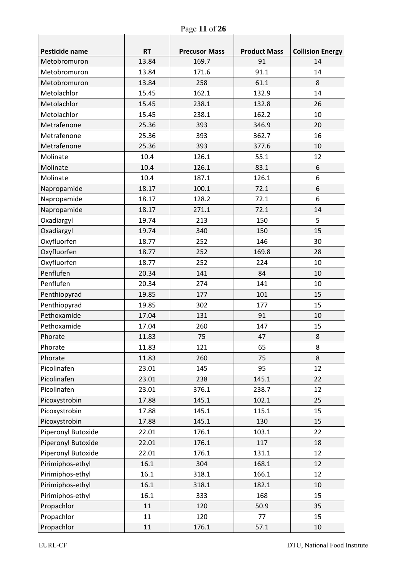| Page 11 of 26 |  |  |
|---------------|--|--|
|               |  |  |

| Pesticide name     | <b>RT</b> | <b>Precusor Mass</b> | <b>Product Mass</b> | <b>Collision Energy</b> |
|--------------------|-----------|----------------------|---------------------|-------------------------|
| Metobromuron       | 13.84     | 169.7                | 91                  | 14                      |
| Metobromuron       | 13.84     | 171.6                | 91.1                | 14                      |
| Metobromuron       | 13.84     | 258                  | 61.1                | 8                       |
| Metolachlor        | 15.45     | 162.1                | 132.9               | 14                      |
| Metolachlor        | 15.45     | 238.1                | 132.8               | 26                      |
| Metolachlor        | 15.45     | 238.1                | 162.2               | 10                      |
| Metrafenone        | 25.36     | 393                  | 346.9               | 20                      |
| Metrafenone        | 25.36     | 393                  | 362.7               | 16                      |
| Metrafenone        | 25.36     | 393                  | 377.6               | 10                      |
| Molinate           | 10.4      | 126.1                | 55.1                | 12                      |
| Molinate           | 10.4      | 126.1                | 83.1                | 6                       |
| Molinate           | 10.4      | 187.1                | 126.1               | 6                       |
| Napropamide        | 18.17     | 100.1                | 72.1                | 6                       |
| Napropamide        | 18.17     | 128.2                | 72.1                | 6                       |
| Napropamide        | 18.17     | 271.1                | 72.1                | 14                      |
| Oxadiargyl         | 19.74     | 213                  | 150                 | 5                       |
| Oxadiargyl         | 19.74     | 340                  | 150                 | 15                      |
| Oxyfluorfen        | 18.77     | 252                  | 146                 | 30                      |
| Oxyfluorfen        | 18.77     | 252                  | 169.8               | 28                      |
| Oxyfluorfen        | 18.77     | 252                  | 224                 | 10                      |
| Penflufen          | 20.34     | 141                  | 84                  | 10                      |
| Penflufen          | 20.34     | 274                  | 141                 | 10                      |
| Penthiopyrad       | 19.85     | 177                  | 101                 | 15                      |
| Penthiopyrad       | 19.85     | 302                  | 177                 | 15                      |
| Pethoxamide        | 17.04     | 131                  | 91                  | 10                      |
| Pethoxamide        | 17.04     | 260                  | 147                 | 15                      |
| Phorate            | 11.83     | 75                   | 47                  | 8                       |
| Phorate            | 11.83     | 121                  | 65                  | 8                       |
| Phorate            | 11.83     | 260                  | 75                  | 8                       |
| Picolinafen        | 23.01     | 145                  | 95                  | 12                      |
| Picolinafen        | 23.01     | 238                  | 145.1               | 22                      |
| Picolinafen        | 23.01     | 376.1                | 238.7               | 12                      |
| Picoxystrobin      | 17.88     | 145.1                | 102.1               | 25                      |
| Picoxystrobin      | 17.88     | 145.1                | 115.1               | 15                      |
| Picoxystrobin      | 17.88     | 145.1                | 130                 | 15                      |
| Piperonyl Butoxide | 22.01     | 176.1                | 103.1               | 22                      |
| Piperonyl Butoxide | 22.01     | 176.1                | 117                 | 18                      |
| Piperonyl Butoxide | 22.01     | 176.1                | 131.1               | 12                      |
| Pirimiphos-ethyl   | 16.1      | 304                  | 168.1               | 12                      |
| Pirimiphos-ethyl   | 16.1      | 318.1                | 166.1               | 12                      |
| Pirimiphos-ethyl   | 16.1      | 318.1                | 182.1               | 10                      |
| Pirimiphos-ethyl   | 16.1      | 333                  | 168                 | 15                      |
| Propachlor         | 11        | 120                  | 50.9                | 35                      |
| Propachlor         | 11        | 120                  | 77                  | 15                      |
| Propachlor         | 11        | 176.1                | 57.1                | 10                      |

٦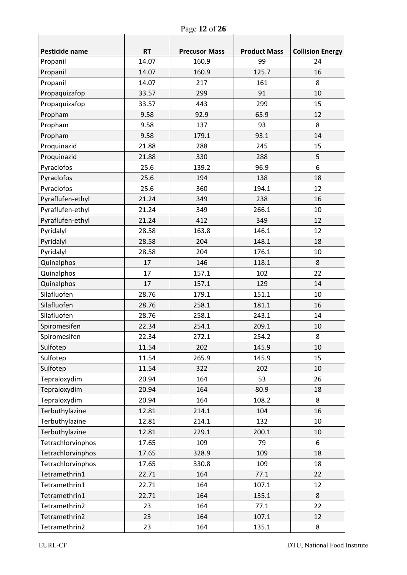| Pesticide name    | <b>RT</b> | <b>Precusor Mass</b> | <b>Product Mass</b> | <b>Collision Energy</b> |
|-------------------|-----------|----------------------|---------------------|-------------------------|
| Propanil          | 14.07     | 160.9                | 99                  | 24                      |
| Propanil          | 14.07     | 160.9                | 125.7               | 16                      |
| Propanil          | 14.07     | 217                  | 161                 | 8                       |
| Propaquizafop     | 33.57     | 299                  | 91                  | 10                      |
| Propaquizafop     | 33.57     | 443                  | 299                 | 15                      |
| Propham           | 9.58      | 92.9                 | 65.9                | 12                      |
| Propham           | 9.58      | 137                  | 93                  | 8                       |
| Propham           | 9.58      | 179.1                | 93.1                | 14                      |
| Proquinazid       | 21.88     | 288                  | 245                 | 15                      |
| Proquinazid       | 21.88     | 330                  | 288                 | 5                       |
| Pyraclofos        | 25.6      | 139.2                | 96.9                | 6                       |
| Pyraclofos        | 25.6      | 194                  | 138                 | 18                      |
| Pyraclofos        | 25.6      | 360                  | 194.1               | 12                      |
| Pyraflufen-ethyl  | 21.24     | 349                  | 238                 | 16                      |
| Pyraflufen-ethyl  | 21.24     | 349                  | 266.1               | 10                      |
| Pyraflufen-ethyl  | 21.24     | 412                  | 349                 | 12                      |
| Pyridalyl         | 28.58     | 163.8                | 146.1               | 12                      |
| Pyridalyl         | 28.58     | 204                  | 148.1               | 18                      |
| Pyridalyl         | 28.58     | 204                  | 176.1               | 10                      |
| Quinalphos        | 17        | 146                  | 118.1               | 8                       |
| Quinalphos        | 17        | 157.1                | 102                 | 22                      |
| Quinalphos        | 17        | 157.1                | 129                 | 14                      |
| Silafluofen       | 28.76     | 179.1                | 151.1               | 10                      |
| Silafluofen       | 28.76     | 258.1                | 181.1               | 16                      |
| Silafluofen       | 28.76     | 258.1                | 243.1               | 14                      |
| Spiromesifen      | 22.34     | 254.1                | 209.1               | 10                      |
| Spiromesifen      | 22.34     | 272.1                | 254.2               | 8                       |
| Sulfotep          | 11.54     | 202                  | 145.9               | 10                      |
| Sulfotep          | 11.54     | 265.9                | 145.9               | 15                      |
| Sulfotep          | 11.54     | 322                  | 202                 | 10                      |
| Tepraloxydim      | 20.94     | 164                  | 53                  | 26                      |
| Tepraloxydim      | 20.94     | 164                  | 80.9                | 18                      |
| Tepraloxydim      | 20.94     | 164                  | 108.2               | 8                       |
| Terbuthylazine    | 12.81     | 214.1                | 104                 | 16                      |
| Terbuthylazine    | 12.81     | 214.1                | 132                 | 10                      |
| Terbuthylazine    | 12.81     | 229.1                | 200.1               | 10                      |
| Tetrachlorvinphos | 17.65     | 109                  | 79                  | 6                       |
| Tetrachlorvinphos | 17.65     | 328.9                | 109                 | 18                      |
| Tetrachlorvinphos | 17.65     | 330.8                | 109                 | 18                      |
| Tetramethrin1     | 22.71     | 164                  | 77.1                | 22                      |
| Tetramethrin1     | 22.71     | 164                  | 107.1               | 12                      |
| Tetramethrin1     | 22.71     | 164                  | 135.1               | 8                       |
| Tetramethrin2     | 23        | 164                  | 77.1                | 22                      |
| Tetramethrin2     | 23        | 164                  | 107.1               | 12                      |
| Tetramethrin2     | 23        | 164                  | 135.1               | 8                       |

Г

٦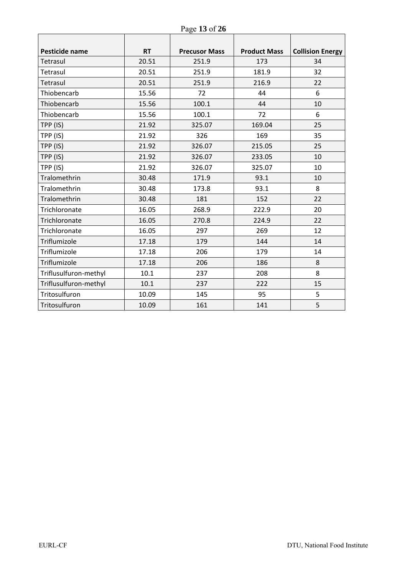| Page 13 of 26 |  |  |  |  |
|---------------|--|--|--|--|
|---------------|--|--|--|--|

| Pesticide name        | <b>RT</b> | <b>Precusor Mass</b> | <b>Product Mass</b> | <b>Collision Energy</b> |
|-----------------------|-----------|----------------------|---------------------|-------------------------|
| Tetrasul              | 20.51     | 251.9                | 173                 | 34                      |
| Tetrasul              | 20.51     | 251.9                | 181.9               | 32                      |
| Tetrasul              | 20.51     | 251.9                | 216.9               | 22                      |
| Thiobencarb           | 15.56     | 72                   | 44                  | 6                       |
| Thiobencarb           | 15.56     | 100.1                | 44                  | 10                      |
| Thiobencarb           | 15.56     | 100.1                | 72                  | 6                       |
| TPP (IS)              | 21.92     | 325.07               | 169.04              | 25                      |
| TPP (IS)              | 21.92     | 326                  | 169                 | 35                      |
| TPP (IS)              | 21.92     | 326.07               | 215.05              | 25                      |
| TPP (IS)              | 21.92     | 326.07               | 233.05              | 10                      |
| TPP (IS)              | 21.92     | 326.07               | 325.07              | 10                      |
| Tralomethrin          | 30.48     | 171.9                | 93.1                | 10                      |
| Tralomethrin          | 30.48     | 173.8                | 93.1                | 8                       |
| Tralomethrin          | 30.48     | 181                  | 152                 | 22                      |
| Trichloronate         | 16.05     | 268.9                | 222.9               | 20                      |
| Trichloronate         | 16.05     | 270.8                | 224.9               | 22                      |
| Trichloronate         | 16.05     | 297                  | 269                 | 12                      |
| Triflumizole          | 17.18     | 179                  | 144                 | 14                      |
| Triflumizole          | 17.18     | 206                  | 179                 | 14                      |
| Triflumizole          | 17.18     | 206                  | 186                 | 8                       |
| Triflusulfuron-methyl | 10.1      | 237                  | 208                 | 8                       |
| Triflusulfuron-methyl | 10.1      | 237                  | 222                 | 15                      |
| Tritosulfuron         | 10.09     | 145                  | 95                  | 5                       |
| Tritosulfuron         | 10.09     | 161                  | 141                 | 5                       |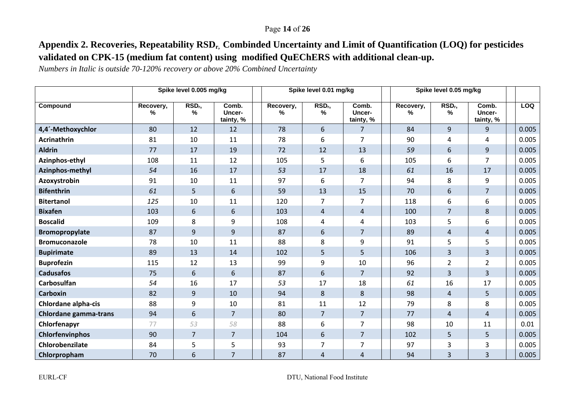#### Page **14** of **26**

# **Appendix 2. Recoveries, Repeatability RSDr, Combinded Uncertainty and Limit of Quantification (LOQ) for pesticides validated on CPK-15 (medium fat content) using modified QuEChERS with additional clean-up.**

*Numbers in Italic is outside 70-120% recovery or above 20% Combined Uncertainty* 

|                              |                | Spike level 0.005 mg/kg    |                              |                | Spike level 0.01 mg/kg     |                              |                | Spike level 0.05 mg/kg  |                              |            |
|------------------------------|----------------|----------------------------|------------------------------|----------------|----------------------------|------------------------------|----------------|-------------------------|------------------------------|------------|
| Compound                     | Recovery,<br>% | RSD <sub>r</sub> ,<br>$\%$ | Comb.<br>Uncer-<br>tainty, % | Recovery,<br>% | RSD <sub>r</sub> ,<br>$\%$ | Comb.<br>Uncer-<br>tainty, % | Recovery,<br>% | RSD <sub>r</sub> ,<br>% | Comb.<br>Uncer-<br>tainty, % | <b>LOQ</b> |
| 4,4'-Methoxychlor            | 80             | 12                         | 12                           | 78             | 6                          | $\overline{7}$               | 84             | 9                       | 9                            | 0.005      |
| Acrinathrin                  | 81             | 10                         | 11                           | 78             | 6                          | $\overline{7}$               | 90             | 4                       | 4                            | 0.005      |
| <b>Aldrin</b>                | 77             | 17                         | 19                           | 72             | 12                         | 13                           | 59             | 6                       | 9                            | 0.005      |
| Azinphos-ethyl               | 108            | 11                         | 12                           | 105            | 5                          | 6                            | 105            | 6                       | $\overline{7}$               | 0.005      |
| Azinphos-methyl              | 54             | 16                         | 17                           | 53             | 17                         | 18                           | 61             | 16                      | 17                           | 0.005      |
| Azoxystrobin                 | 91             | 10                         | 11                           | 97             | 6                          | $\overline{7}$               | 94             | 8                       | 9                            | 0.005      |
| <b>Bifenthrin</b>            | 61             | 5                          | 6                            | 59             | 13                         | 15                           | 70             | 6                       | $\overline{7}$               | 0.005      |
| <b>Bitertanol</b>            | 125            | 10                         | 11                           | 120            | $\overline{7}$             | $\overline{7}$               | 118            | 6                       | 6                            | 0.005      |
| <b>Bixafen</b>               | 103            | 6                          | 6                            | 103            | $\overline{4}$             | $\overline{4}$               | 100            | $\overline{7}$          | 8                            | 0.005      |
| <b>Boscalid</b>              | 109            | 8                          | 9                            | 108            | 4                          | 4                            | 103            | 5                       | 6                            | 0.005      |
| Bromopropylate               | 87             | 9                          | 9                            | 87             | 6                          | $\overline{7}$               | 89             | $\overline{4}$          | $\overline{4}$               | 0.005      |
| <b>Bromuconazole</b>         | 78             | 10                         | 11                           | 88             | 8                          | 9                            | 91             | 5                       | 5                            | 0.005      |
| <b>Bupirimate</b>            | 89             | 13                         | 14                           | 102            | 5                          | 5                            | 106            | $\overline{3}$          | $\overline{3}$               | 0.005      |
| <b>Buprofezin</b>            | 115            | 12                         | 13                           | 99             | 9                          | 10                           | 96             | $\overline{2}$          | $\overline{2}$               | 0.005      |
| <b>Cadusafos</b>             | 75             | 6                          | 6                            | 87             | 6                          | $\overline{7}$               | 92             | $\overline{3}$          | $\overline{3}$               | 0.005      |
| <b>Carbosulfan</b>           | 54             | 16                         | 17                           | 53             | 17                         | 18                           | 61             | 16                      | 17                           | 0.005      |
| <b>Carboxin</b>              | 82             | 9                          | 10                           | 94             | 8                          | 8                            | 98             | $\overline{4}$          | 5                            | 0.005      |
| Chlordane alpha-cis          | 88             | 9                          | 10                           | 81             | 11                         | 12                           | 79             | 8                       | 8                            | 0.005      |
| <b>Chlordane gamma-trans</b> | 94             | 6                          | $\overline{7}$               | 80             | 7                          | $\overline{7}$               | 77             | $\overline{4}$          | $\overline{4}$               | 0.005      |
| Chlorfenapyr                 | 77             | 53                         | 58                           | 88             | 6                          | $\overline{7}$               | 98             | 10                      | 11                           | 0.01       |
| Chlorfenvinphos              | 90             | $\overline{7}$             | $\overline{7}$               | 104            | 6                          | $\overline{7}$               | 102            | 5                       | 5                            | 0.005      |
| Chlorobenzilate              | 84             | 5                          | 5                            | 93             | 7                          | $\overline{7}$               | 97             | 3                       | 3                            | 0.005      |
| Chlorpropham                 | 70             | 6                          | $\overline{7}$               | 87             | 4                          | 4                            | 94             | 3                       | 3                            | 0.005      |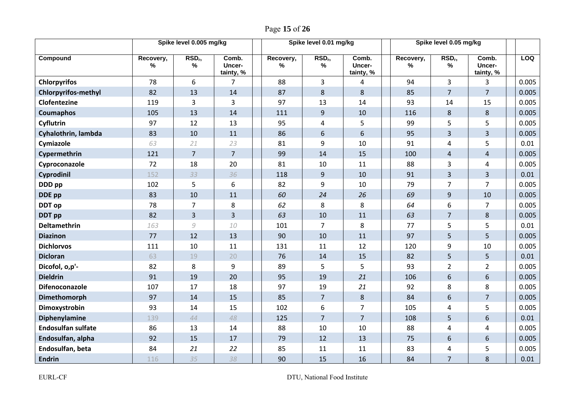|                            | Spike level 0.005 mg/kg |                            |                              |  | Spike level 0.01 mg/kg |                         | Spike level 0.05 mg/kg       |                   |                            |                              |       |
|----------------------------|-------------------------|----------------------------|------------------------------|--|------------------------|-------------------------|------------------------------|-------------------|----------------------------|------------------------------|-------|
| Compound                   | Recovery,<br>%          | RSD <sub>r</sub> ,<br>$\%$ | Comb.<br>Uncer-<br>tainty, % |  | Recovery,<br>%         | RSD <sub>r</sub> ,<br>% | Comb.<br>Uncer-<br>tainty, % | Recovery,<br>$\%$ | RSD <sub>r</sub> ,<br>$\%$ | Comb.<br>Uncer-<br>tainty, % | LOQ   |
| <b>Chlorpyrifos</b>        | 78                      | 6                          | $\overline{7}$               |  | 88                     | $\overline{3}$          | 4                            | 94                | 3                          | 3                            | 0.005 |
| <b>Chlorpyrifos-methyl</b> | 82                      | 13                         | 14                           |  | 87                     | 8                       | 8                            | 85                | $\overline{7}$             | $\overline{7}$               | 0.005 |
| Clofentezine               | 119                     | $\overline{3}$             | $\overline{3}$               |  | 97                     | 13                      | 14                           | 93                | 14                         | 15                           | 0.005 |
| Coumaphos                  | 105                     | 13                         | 14                           |  | 111                    | 9                       | 10                           | 116               | $\,8\,$                    | 8                            | 0.005 |
| Cyflutrin                  | 97                      | 12                         | 13                           |  | 95                     | 4                       | 5                            | 99                | 5                          | 5                            | 0.005 |
| Cyhalothrin, lambda        | 83                      | 10                         | 11                           |  | 86                     | 6                       | 6                            | 95                | $\overline{3}$             | $\overline{3}$               | 0.005 |
| Cymiazole                  | 63                      | 21                         | 23                           |  | 81                     | 9                       | 10                           | 91                | $\overline{4}$             | 5                            | 0.01  |
| Cypermethrin               | 121                     | $\overline{7}$             | $\overline{7}$               |  | 99                     | 14                      | 15                           | 100               | $\overline{4}$             | $\overline{4}$               | 0.005 |
| Cyproconazole              | 72                      | 18                         | 20                           |  | 81                     | 10                      | 11                           | 88                | 3                          | 4                            | 0.005 |
| Cyprodinil                 | 152                     | 33                         | 36                           |  | 118                    | 9                       | 10                           | 91                | $\overline{3}$             | $\overline{3}$               | 0.01  |
| DDD pp                     | 102                     | 5                          | 6                            |  | 82                     | 9                       | 10                           | 79                | $\overline{7}$             | $\overline{7}$               | 0.005 |
| DDE pp                     | 83                      | 10                         | 11                           |  | 60                     | 24                      | 26                           | 69                | $\overline{9}$             | 10                           | 0.005 |
| DDT op                     | 78                      | $\overline{7}$             | 8                            |  | 62                     | 8                       | 8                            | 64                | 6                          | $\overline{7}$               | 0.005 |
| <b>DDT</b> pp              | 82                      | $\overline{3}$             | $\overline{3}$               |  | 63                     | 10                      | 11                           | 63                | $\overline{7}$             | 8                            | 0.005 |
| <b>Deltamethrin</b>        | 163                     | 9                          | 10                           |  | 101                    | $\overline{7}$          | 8                            | 77                | 5                          | 5                            | 0.01  |
| <b>Diazinon</b>            | 77                      | 12                         | 13                           |  | 90                     | 10                      | 11                           | 97                | 5                          | 5                            | 0.005 |
| <b>Dichlorvos</b>          | 111                     | 10                         | 11                           |  | 131                    | 11                      | 12                           | 120               | 9                          | 10                           | 0.005 |
| <b>Dicloran</b>            | 63                      | 19                         | 20                           |  | 76                     | 14                      | 15                           | 82                | 5                          | 5                            | 0.01  |
| Dicofol, o,p'-             | 82                      | 8                          | 9                            |  | 89                     | 5                       | 5                            | 93                | $\overline{2}$             | $\overline{2}$               | 0.005 |
| <b>Dieldrin</b>            | 91                      | 19                         | 20                           |  | 95                     | 19                      | 21                           | 106               | $6\,$                      | 6                            | 0.005 |
| <b>Difenoconazole</b>      | 107                     | 17                         | 18                           |  | 97                     | 19                      | 21                           | 92                | 8                          | 8                            | 0.005 |
| Dimethomorph               | 97                      | 14                         | 15                           |  | 85                     | $\overline{7}$          | 8                            | 84                | $6\,$                      | $\overline{7}$               | 0.005 |
| Dimoxystrobin              | 93                      | 14                         | 15                           |  | 102                    | $\,6\,$                 | $\overline{7}$               | 105               | $\overline{4}$             | 5                            | 0.005 |
| Diphenylamine              | 139                     | 44                         | 48                           |  | 125                    | $\overline{7}$          | $\overline{7}$               | 108               | 5                          | 6                            | 0.01  |
| <b>Endosulfan sulfate</b>  | 86                      | 13                         | 14                           |  | 88                     | 10                      | 10                           | 88                | $\overline{4}$             | 4                            | 0.005 |
| Endosulfan, alpha          | 92                      | 15                         | 17                           |  | 79                     | 12                      | 13                           | 75                | $6\phantom{1}$             | $6\phantom{1}$               | 0.005 |
| Endosulfan, beta           | 84                      | 21                         | 22                           |  | 85                     | 11                      | 11                           | 83                | 4                          | 5                            | 0.005 |
| <b>Endrin</b>              | 116                     | 35                         | 38                           |  | 90                     | 15                      | 16                           | 84                | $\overline{7}$             | 8                            | 0.01  |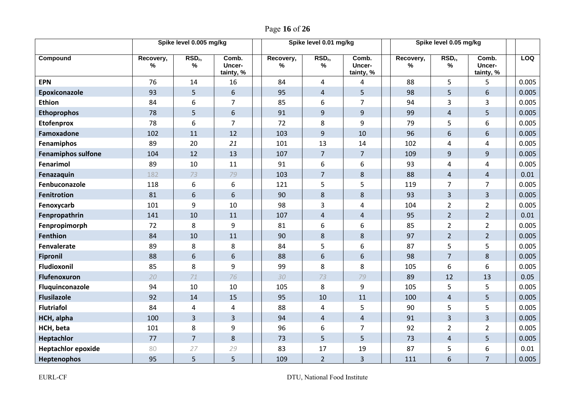|                           |                | Spike level 0.005 mg/kg |                              |                | Spike level 0.01 mg/kg  |                              | Spike level 0.05 mg/kg |                            |                              |  |       |  |
|---------------------------|----------------|-------------------------|------------------------------|----------------|-------------------------|------------------------------|------------------------|----------------------------|------------------------------|--|-------|--|
| Compound                  | Recovery,<br>% | RSD <sub>r</sub> ,<br>% | Comb.<br>Uncer-<br>tainty, % | Recovery,<br>% | RSD <sub>r</sub> ,<br>% | Comb.<br>Uncer-<br>tainty, % | Recovery,<br>%         | RSD <sub>r</sub> ,<br>$\%$ | Comb.<br>Uncer-<br>tainty, % |  | LOQ   |  |
| <b>EPN</b>                | 76             | 14                      | 16                           | 84             | $\overline{4}$          | 4                            | 88                     | 5                          | 5                            |  | 0.005 |  |
| Epoxiconazole             | 93             | 5                       | 6                            | 95             | $\overline{4}$          | 5                            | 98                     | 5                          | 6                            |  | 0.005 |  |
| <b>Ethion</b>             | 84             | 6                       | $\overline{7}$               | 85             | 6                       | $\overline{7}$               | 94                     | 3                          | 3                            |  | 0.005 |  |
| <b>Ethoprophos</b>        | 78             | 5                       | 6                            | 91             | $9$                     | 9                            | 99                     | $\overline{4}$             | 5                            |  | 0.005 |  |
| <b>Etofenprox</b>         | 78             | 6                       | $\overline{7}$               | 72             | 8                       | 9                            | 79                     | 5                          | 6                            |  | 0.005 |  |
| Famoxadone                | 102            | 11                      | 12                           | 103            | 9                       | 10                           | 96                     | 6                          | 6                            |  | 0.005 |  |
| Fenamiphos                | 89             | 20                      | 21                           | 101            | 13                      | 14                           | 102                    | 4                          | 4                            |  | 0.005 |  |
| <b>Fenamiphos sulfone</b> | 104            | 12                      | 13                           | 107            | $\overline{7}$          | $\overline{7}$               | 109                    | 9                          | 9                            |  | 0.005 |  |
| Fenarimol                 | 89             | 10                      | 11                           | 91             | 6                       | 6                            | 93                     | 4                          | 4                            |  | 0.005 |  |
| Fenazaquin                | 182            | 73                      | 79                           | 103            | $\overline{7}$          | 8                            | 88                     | $\overline{4}$             | $\overline{4}$               |  | 0.01  |  |
| Fenbuconazole             | 118            | 6                       | 6                            | 121            | 5                       | 5                            | 119                    | $\overline{7}$             | $\overline{7}$               |  | 0.005 |  |
| <b>Fenitrotion</b>        | 81             | 6                       | 6                            | 90             | 8                       | 8                            | 93                     | $\overline{3}$             | $\overline{3}$               |  | 0.005 |  |
| Fenoxycarb                | 101            | 9                       | 10                           | 98             | 3                       | 4                            | 104                    | $\overline{2}$             | $\overline{2}$               |  | 0.005 |  |
| Fenpropathrin             | 141            | 10                      | 11                           | 107            | $\overline{4}$          | 4                            | 95                     | $\overline{2}$             | $\overline{2}$               |  | 0.01  |  |
| Fenpropimorph             | 72             | 8                       | 9                            | 81             | 6                       | 6                            | 85                     | $\overline{2}$             | $\overline{2}$               |  | 0.005 |  |
| <b>Fenthion</b>           | 84             | 10                      | 11                           | 90             | 8                       | 8                            | 97                     | $2^{\circ}$                | $\overline{2}$               |  | 0.005 |  |
| Fenvalerate               | 89             | 8                       | 8                            | 84             | 5                       | 6                            | 87                     | 5                          | 5                            |  | 0.005 |  |
| <b>Fipronil</b>           | 88             | 6                       | 6                            | 88             | 6                       | 6                            | 98                     | $\overline{7}$             | 8                            |  | 0.005 |  |
| Fludioxonil               | 85             | 8                       | 9                            | 99             | 8                       | 8                            | 105                    | 6                          | 6                            |  | 0.005 |  |
| Flufenoxuron              | 20             | 71                      | 76                           | 30             | 73                      | 79                           | 89                     | 12                         | 13                           |  | 0.05  |  |
| Fluquinconazole           | 94             | 10                      | 10                           | 105            | 8                       | 9                            | 105                    | 5                          | 5                            |  | 0.005 |  |
| <b>Flusilazole</b>        | 92             | 14                      | 15                           | 95             | 10                      | 11                           | 100                    | $\overline{4}$             | 5                            |  | 0.005 |  |
| <b>Flutriafol</b>         | 84             | $\pmb{4}$               | $\overline{4}$               | 88             | 4                       | 5                            | 90                     | 5                          | 5                            |  | 0.005 |  |
| HCH, alpha                | 100            | $\overline{3}$          | 3                            | 94             | $\overline{a}$          | $\overline{4}$               | 91                     | 3                          | $\overline{3}$               |  | 0.005 |  |
| HCH, beta                 | 101            | 8                       | 9                            | 96             | 6                       | $\overline{7}$               | 92                     | $\overline{2}$             | $\overline{2}$               |  | 0.005 |  |
| Heptachlor                | 77             | $\overline{7}$          | 8                            | 73             | 5                       | 5                            | 73                     | $\overline{4}$             | 5                            |  | 0.005 |  |
| <b>Heptachlor epoxide</b> | 80             | 27                      | 29                           | 83             | 17                      | 19                           | 87                     | 5                          | 6                            |  | 0.01  |  |
| Heptenophos               | 95             | 5                       | 5                            | 109            | $\overline{2}$          | $\overline{3}$               | 111                    | 6                          | $\overline{7}$               |  | 0.005 |  |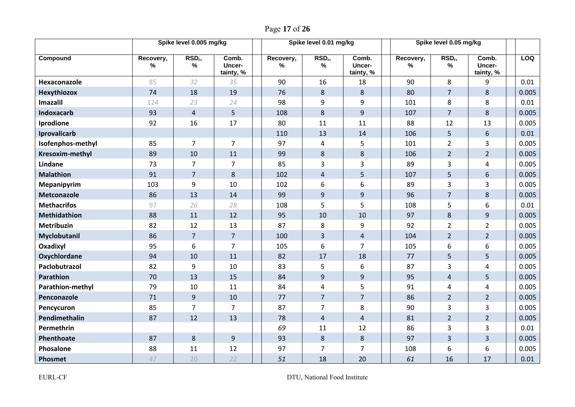| Page 17 of 26 |  |  |  |
|---------------|--|--|--|
|---------------|--|--|--|

|                     | Spike level 0.005 mg/kg |                         |                              |  |                | Spike level 0.01 mg/kg     |                              | Spike level 0.05 mg/kg |                                     |                              |            |
|---------------------|-------------------------|-------------------------|------------------------------|--|----------------|----------------------------|------------------------------|------------------------|-------------------------------------|------------------------------|------------|
| Compound            | Recovery,<br>$\%$       | RSD <sub>r</sub> ,<br>% | Comb.<br>Uncer-<br>tainty, % |  | Recovery,<br>% | RSD <sub>r</sub> ,<br>$\%$ | Comb.<br>Uncer-<br>tainty, % | Recovery,<br>$\%$      | RSD <sub>r</sub> ,<br>$\frac{9}{6}$ | Comb.<br>Uncer-<br>tainty, % | <b>LOQ</b> |
| Hexaconazole        | 85                      | 32                      | 35                           |  | 90             | 16                         | 18                           | 90                     | 8                                   | 9                            | 0.01       |
| <b>Hexythiozox</b>  | 74                      | 18                      | 19                           |  | 76             | 8                          | 8                            | 80                     | $\overline{7}$                      | 8                            | 0.005      |
| Imazalil            | 124                     | 23                      | 24                           |  | 98             | 9                          | 9                            | 101                    | 8                                   | 8                            | 0.01       |
| Indoxacarb          | 93                      | $\overline{4}$          | 5                            |  | 108            | 8                          | $\overline{9}$               | 107                    | $\overline{7}$                      | 8                            | 0.005      |
| Iprodione           | 92                      | 16                      | 17                           |  | 80             | 11                         | 11                           | 88                     | 12                                  | 13                           | 0.005      |
| Iprovalicarb        |                         |                         |                              |  | 110            | 13                         | 14                           | 106                    | 5                                   | $6\phantom{1}$               | 0.01       |
| Isofenphos-methyl   | 85                      | $\overline{7}$          | $\overline{7}$               |  | 97             | 4                          | 5                            | 101                    | $\overline{2}$                      | 3                            | 0.005      |
| Kresoxim-methyl     | 89                      | 10                      | 11                           |  | 99             | 8                          | 8                            | 106                    | $2 \overline{ }$                    | $\overline{2}$               | 0.005      |
| Lindane             | 73                      | $\overline{7}$          | $\overline{7}$               |  | 85             | 3                          | 3                            | 89                     | 3                                   | 4                            | 0.005      |
| <b>Malathion</b>    | 91                      | $\overline{7}$          | 8                            |  | 102            | 4                          | 5                            | 107                    | 5                                   | 6                            | 0.005      |
| <b>Mepanipyrim</b>  | 103                     | 9                       | 10                           |  | 102            | 6                          | 6                            | 89                     | 3                                   | 3                            | 0.005      |
| Metconazole         | 86                      | 13                      | 14                           |  | 99             | $9$                        | $\overline{9}$               | 96                     | $\overline{7}$                      | 8                            | 0.005      |
| <b>Methacrifos</b>  | 97                      | 26                      | 28                           |  | 108            | 5                          | 5                            | 108                    | 5                                   | 6                            | 0.01       |
| <b>Methidathion</b> | 88                      | 11                      | 12                           |  | 95             | 10                         | 10                           | 97                     | 8                                   | 9                            | 0.005      |
| Metribuzin          | 82                      | 12                      | 13                           |  | 87             | 8                          | 9                            | 92                     | $\overline{2}$                      | $\overline{2}$               | 0.005      |
| Myclobutanil        | 86                      | $\overline{7}$          | $\overline{7}$               |  | 100            | 3                          | $\overline{4}$               | 104                    | $\overline{2}$                      | $\overline{2}$               | 0.005      |
| Oxadixyl            | 95                      | 6                       | $\overline{7}$               |  | 105            | 6                          | $\overline{7}$               | 105                    | 6                                   | 6                            | 0.005      |
| Oxychlordane        | 94                      | 10                      | 11                           |  | 82             | 17                         | 18                           | 77                     | 5                                   | 5                            | 0.005      |
| Paclobutrazol       | 82                      | 9                       | 10                           |  | 83             | 5                          | 6                            | 87                     | $\overline{3}$                      | 4                            | 0.005      |
| Parathion           | 70                      | 13                      | 15                           |  | 84             | $9\,$                      | 9                            | 95                     | $\overline{4}$                      | 5                            | 0.005      |
| Parathion-methyl    | 79                      | 10                      | 11                           |  | 84             | 4                          | 5                            | 91                     | 4                                   | 4                            | 0.005      |
| Penconazole         | 71                      | 9                       | 10                           |  | 77             | $\overline{7}$             | $\overline{7}$               | 86                     | $\overline{2}$                      | $\overline{2}$               | 0.005      |
| Pencycuron          | 85                      | $\overline{7}$          | $\overline{7}$               |  | 87             | $\overline{7}$             | 8                            | 90                     | 3                                   | 3                            | 0.005      |
| Pendimethalin       | 87                      | 12                      | 13                           |  | 78             | $\overline{4}$             | $\overline{4}$               | 81                     | $\overline{2}$                      | $\overline{2}$               | 0.005      |
| Permethrin          |                         |                         |                              |  | 69             | 11                         | 12                           | 86                     | 3                                   | 3                            | 0.01       |
| Phenthoate          | 87                      | 8                       | 9                            |  | 93             | 8                          | 8                            | 97                     | $\overline{3}$                      | $\overline{3}$               | 0.005      |
| Phosalone           | 88                      | 11                      | 12                           |  | 97             | $\overline{7}$             | $\overline{7}$               | 108                    | 6                                   | 6                            | 0.005      |
| Phosmet             | 47                      | 20                      | 22                           |  | 51             | 18                         | 20                           | 61                     | 16                                  | 17                           | 0.01       |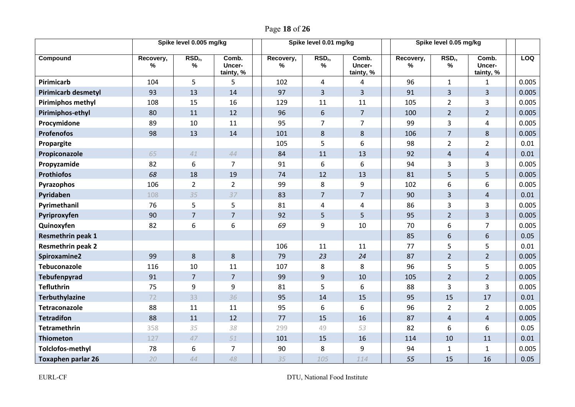| Page 18 of 26 |  |  |  |
|---------------|--|--|--|
|---------------|--|--|--|

|                            | Spike level 0.005 mg/kg |                            |                              | Spike level 0.01 mg/kg |                            |                              |  | Spike level 0.05 mg/kg |                         |                              |       |
|----------------------------|-------------------------|----------------------------|------------------------------|------------------------|----------------------------|------------------------------|--|------------------------|-------------------------|------------------------------|-------|
| Compound                   | Recovery,<br>%          | RSD <sub>r</sub> ,<br>$\%$ | Comb.<br>Uncer-<br>tainty, % | Recovery,<br>%         | RSD <sub>r</sub> ,<br>$\%$ | Comb.<br>Uncer-<br>tainty, % |  | Recovery,<br>%         | RSD <sub>r</sub> ,<br>% | Comb.<br>Uncer-<br>tainty, % | LOQ   |
| Pirimicarb                 | 104                     | 5                          | 5                            | 102                    | 4                          | 4                            |  | 96                     | $\mathbf{1}$            | $\mathbf{1}$                 | 0.005 |
| <b>Pirimicarb desmetyl</b> | 93                      | 13                         | 14                           | 97                     | 3                          | $\overline{3}$               |  | 91                     | 3                       | $\overline{3}$               | 0.005 |
| <b>Pirimiphos methyl</b>   | 108                     | 15                         | 16                           | 129                    | 11                         | 11                           |  | 105                    | $\overline{2}$          | 3                            | 0.005 |
| Pirimiphos-ethyl           | 80                      | 11                         | 12                           | 96                     | 6                          | $7\overline{ }$              |  | 100                    | $\overline{2}$          | $\overline{2}$               | 0.005 |
| Procymidone                | 89                      | 10                         | 11                           | 95                     | $\overline{7}$             | $\overline{7}$               |  | 99                     | 3                       | $\overline{4}$               | 0.005 |
| <b>Profenofos</b>          | 98                      | 13                         | 14                           | 101                    | 8                          | 8                            |  | 106                    | $\overline{7}$          | 8                            | 0.005 |
| Propargite                 |                         |                            |                              | 105                    | 5                          | 6                            |  | 98                     | $\overline{2}$          | $\overline{2}$               | 0.01  |
| Propiconazole              | 65                      | 41                         | 44                           | 84                     | 11                         | 13                           |  | 92                     | $\overline{4}$          | $\overline{4}$               | 0.01  |
| Propyzamide                | 82                      | 6                          | $\overline{7}$               | 91                     | 6                          | 6                            |  | 94                     | 3                       | 3                            | 0.005 |
| <b>Prothiofos</b>          | 68                      | 18                         | 19                           | 74                     | 12                         | 13                           |  | 81                     | 5                       | 5                            | 0.005 |
| Pyrazophos                 | 106                     | $\overline{2}$             | $\overline{2}$               | 99                     | 8                          | 9                            |  | 102                    | 6                       | 6                            | 0.005 |
| Pyridaben                  | 108                     | 35                         | 37                           | 83                     | $\overline{7}$             | $\overline{7}$               |  | 90                     | $\overline{3}$          | $\overline{4}$               | 0.01  |
| Pyrimethanil               | 76                      | 5                          | 5                            | 81                     | $\overline{4}$             | 4                            |  | 86                     | $\overline{3}$          | $\overline{3}$               | 0.005 |
| Pyriproxyfen               | 90                      | $\overline{7}$             | $\overline{7}$               | 92                     | 5                          | 5                            |  | 95                     | $\overline{2}$          | $\overline{3}$               | 0.005 |
| Quinoxyfen                 | 82                      | 6                          | 6                            | 69                     | 9                          | 10                           |  | 70                     | 6                       | $\overline{7}$               | 0.005 |
| Resmethrin peak 1          |                         |                            |                              |                        |                            |                              |  | 85                     | 6                       | 6                            | 0.05  |
| <b>Resmethrin peak 2</b>   |                         |                            |                              | 106                    | 11                         | 11                           |  | 77                     | 5                       | 5                            | 0.01  |
| Spiroxamine2               | 99                      | 8                          | 8                            | 79                     | 23                         | 24                           |  | 87                     | $\overline{2}$          | $2^{\circ}$                  | 0.005 |
| Tebuconazole               | 116                     | 10                         | 11                           | 107                    | 8                          | 8                            |  | 96                     | 5                       | 5                            | 0.005 |
| Tebufenpyrad               | 91                      | $\overline{7}$             | $\overline{7}$               | 99                     | 9                          | 10                           |  | 105                    | $\overline{2}$          | $\overline{2}$               | 0.005 |
| <b>Tefluthrin</b>          | 75                      | 9                          | 9                            | 81                     | 5                          | 6                            |  | 88                     | $\overline{3}$          | $\overline{3}$               | 0.005 |
| <b>Terbuthylazine</b>      | 72                      | 33                         | 36                           | 95                     | 14                         | 15                           |  | 95                     | 15                      | 17                           | 0.01  |
| Tetraconazole              | 88                      | 11                         | 11                           | 95                     | 6                          | 6                            |  | 96                     | $\overline{2}$          | $\overline{2}$               | 0.005 |
| <b>Tetradifon</b>          | 88                      | 11                         | 12                           | 77                     | 15                         | 16                           |  | 87                     | $\overline{4}$          | $\overline{4}$               | 0.005 |
| <b>Tetramethrin</b>        | 358                     | 35                         | 38                           | 299                    | 49                         | 53                           |  | 82                     | 6                       | 6                            | 0.05  |
| <b>Thiometon</b>           | 127                     | 47                         | 51                           | 101                    | 15                         | 16                           |  | 114                    | 10                      | 11                           | 0.01  |
| <b>Tolclofos-methyl</b>    | 78                      | 6                          | $\overline{7}$               | 90                     | 8                          | 9                            |  | 94                     | $\mathbf{1}$            | $\mathbf{1}$                 | 0.005 |
| <b>Toxaphen parlar 26</b>  | 20                      | 44                         | 48                           | 35                     | 105                        | 114                          |  | 55                     | 15                      | 16                           | 0.05  |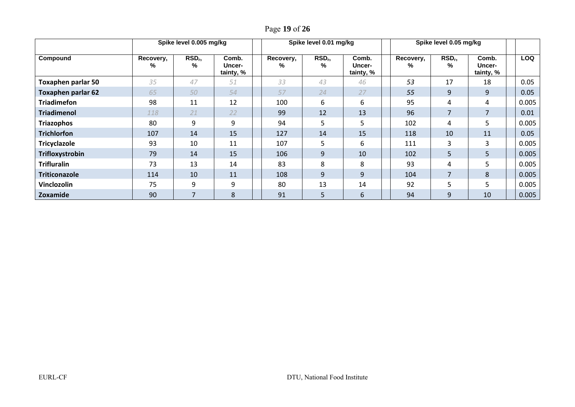|                           |                | Spike level 0.005 mg/kg  |                              |  |                | Spike level 0.01 mg/kg |                                     | Spike level 0.05 mg/kg |                       |                              |            |
|---------------------------|----------------|--------------------------|------------------------------|--|----------------|------------------------|-------------------------------------|------------------------|-----------------------|------------------------------|------------|
| Compound                  | Recovery,<br>% | RSD <sub>r</sub><br>$\%$ | Comb.<br>Uncer-<br>tainty, % |  | Recovery,<br>% | RSD <sub>r</sub><br>℅  | Comb.<br><b>Uncer-</b><br>tainty, % | Recovery,<br>%         | RSD <sub>r</sub><br>% | Comb.<br>Uncer-<br>tainty, % | <b>LOQ</b> |
| <b>Toxaphen parlar 50</b> | 35             | 47                       | 51                           |  | 33             | 43                     | 46                                  | 53                     | 17                    | 18                           | 0.05       |
| <b>Toxaphen parlar 62</b> | 65             | 50                       | 54                           |  | 57             | 24                     | 27                                  | 55                     | 9                     | 9                            | 0.05       |
| <b>Triadimefon</b>        | 98             | 11                       | 12                           |  | 100            | 6                      | 6                                   | 95                     | 4                     | 4                            | 0.005      |
| <b>Triadimenol</b>        | 118            | 21                       | 22                           |  | 99             | 12                     | 13                                  | 96                     | $\overline{7}$        |                              | 0.01       |
| <b>Triazophos</b>         | 80             | 9                        | 9                            |  | 94             | 5                      | 5                                   | 102                    | 4                     | 5                            | 0.005      |
| <b>Trichlorfon</b>        | 107            | 14                       | 15                           |  | 127            | 14                     | 15                                  | 118                    | 10                    | 11                           | 0.05       |
| <b>Tricyclazole</b>       | 93             | 10                       | 11                           |  | 107            | 5                      | 6                                   | 111                    | 3                     | 3                            | 0.005      |
| Trifloxystrobin           | 79             | 14                       | 15                           |  | 106            | 9                      | 10                                  | 102                    | 5                     | 5                            | 0.005      |
| <b>Trifluralin</b>        | 73             | 13                       | 14                           |  | 83             | 8                      | 8                                   | 93                     | 4                     | 5                            | 0.005      |
| <b>Triticonazole</b>      | 114            | 10                       | 11                           |  | 108            | 9                      | 9                                   | 104                    | $\overline{7}$        | 8                            | 0.005      |
| Vinclozolin               | 75             | 9                        | 9                            |  | 80             | 13                     | 14                                  | 92                     | 5                     | 5                            | 0.005      |
| Zoxamide                  | 90             | 7                        | 8                            |  | 91             | 5                      | 6                                   | 94                     | 9                     | 10                           | 0.005      |

Page **19** of **26**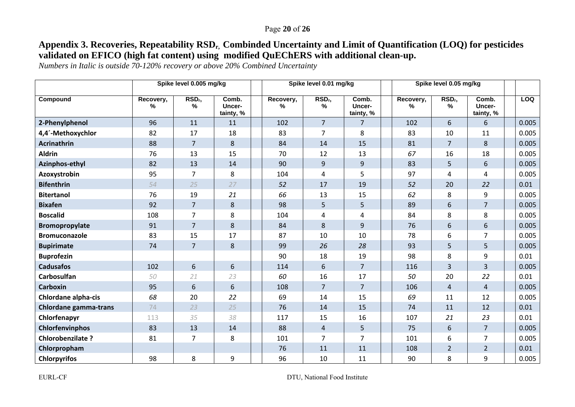#### Page **20** of **26**

# **Appendix 3. Recoveries, Repeatability RSDr, Combinded Uncertainty and Limit of Quantification (LOQ) for pesticides validated on EFICO (high fat content) using modified QuEChERS with additional clean-up.**

*Numbers in Italic is outside 70-120% recovery or above 20% Combined Uncertainty* 

|                              | Spike level 0.005 mg/kg |                         |                              | Spike level 0.01 mg/kg |                |                         |                              |  | Spike level 0.05 mg/kg |                                  |                              |            |
|------------------------------|-------------------------|-------------------------|------------------------------|------------------------|----------------|-------------------------|------------------------------|--|------------------------|----------------------------------|------------------------------|------------|
| Compound                     | Recovery,<br>℅          | RSD <sub>r</sub> ,<br>% | Comb.<br>Uncer-<br>tainty, % |                        | Recovery,<br>% | RSD <sub>r</sub> ,<br>% | Comb.<br>Uncer-<br>tainty, % |  | Recovery,<br>%         | $\overline{\text{RSD}}_{r}$<br>℅ | Comb.<br>Uncer-<br>tainty, % | <b>LOQ</b> |
| 2-Phenylphenol               | 96                      | 11                      | 11                           |                        | 102            | $\overline{7}$          | $\overline{7}$               |  | 102                    | 6                                | 6                            | 0.005      |
| 4,4'-Methoxychlor            | 82                      | 17                      | 18                           |                        | 83             | 7                       | 8                            |  | 83                     | 10                               | 11                           | 0.005      |
| <b>Acrinathrin</b>           | 88                      | $\overline{7}$          | 8                            |                        | 84             | 14                      | 15                           |  | 81                     | $\overline{7}$                   | 8                            | 0.005      |
| <b>Aldrin</b>                | 76                      | 13                      | 15                           |                        | 70             | 12                      | 13                           |  | 67                     | 16                               | 18                           | 0.005      |
| Azinphos-ethyl               | 82                      | 13                      | 14                           |                        | 90             | 9                       | 9                            |  | 83                     | 5                                | 6                            | 0.005      |
| Azoxystrobin                 | 95                      | $\overline{7}$          | 8                            |                        | 104            | 4                       | 5                            |  | 97                     | 4                                | 4                            | 0.005      |
| <b>Bifenthrin</b>            | 54                      | 25                      | 27                           |                        | 52             | 17                      | 19                           |  | 52                     | 20                               | 22                           | 0.01       |
| <b>Bitertanol</b>            | 76                      | 19                      | 21                           |                        | 66             | 13                      | 15                           |  | 62                     | 8                                | 9                            | 0.005      |
| <b>Bixafen</b>               | 92                      | $\overline{7}$          | 8                            |                        | 98             | 5                       | 5                            |  | 89                     | 6                                | $\overline{7}$               | 0.005      |
| <b>Boscalid</b>              | 108                     | $\overline{7}$          | 8                            |                        | 104            | 4                       | 4                            |  | 84                     | 8                                | 8                            | 0.005      |
| <b>Bromopropylate</b>        | 91                      | $\overline{7}$          | 8                            |                        | 84             | 8                       | 9                            |  | 76                     | 6                                | 6                            | 0.005      |
| <b>Bromuconazole</b>         | 83                      | 15                      | 17                           |                        | 87             | 10                      | 10                           |  | 78                     | 6                                | 7                            | 0.005      |
| <b>Bupirimate</b>            | 74                      | $\overline{7}$          | $\,8\,$                      |                        | 99             | 26                      | 28                           |  | 93                     | 5                                | 5                            | 0.005      |
| <b>Buprofezin</b>            |                         |                         |                              |                        | 90             | 18                      | 19                           |  | 98                     | 8                                | 9                            | 0.01       |
| <b>Cadusafos</b>             | 102                     | 6                       | 6                            |                        | 114            | $6\,$                   | $\overline{7}$               |  | 116                    | 3                                | 3                            | 0.005      |
| Carbosulfan                  | 50                      | 21                      | 23                           |                        | 60             | 16                      | 17                           |  | 50                     | 20                               | 22                           | 0.01       |
| <b>Carboxin</b>              | 95                      | 6                       | 6                            |                        | 108            | $\overline{7}$          | $\overline{7}$               |  | 106                    | $\overline{4}$                   | $\overline{4}$               | 0.005      |
| Chlordane alpha-cis          | 68                      | 20                      | 22                           |                        | 69             | 14                      | 15                           |  | 69                     | 11                               | 12                           | 0.005      |
| <b>Chlordane gamma-trans</b> | 74                      | 23                      | 25                           |                        | 76             | 14                      | 15                           |  | 74                     | 11                               | 12                           | 0.01       |
| Chlorfenapyr                 | 113                     | 35                      | 38                           |                        | 117            | 15                      | 16                           |  | 107                    | 21                               | 23                           | 0.01       |
| <b>Chlorfenvinphos</b>       | 83                      | 13                      | 14                           |                        | 88             | $\overline{4}$          | 5                            |  | 75                     | $6\,$                            | $\overline{7}$               | 0.005      |
| Chlorobenzilate ?            | 81                      | $\overline{7}$          | 8                            |                        | 101            | $\overline{7}$          | $\overline{7}$               |  | 101                    | 6                                | 7                            | 0.005      |
| Chlorpropham                 |                         |                         |                              |                        | 76             | 11                      | 11                           |  | 108                    | $\overline{2}$                   | $\overline{2}$               | 0.01       |
| <b>Chlorpyrifos</b>          | 98                      | 8                       | 9                            |                        | 96             | 10                      | 11                           |  | 90                     | 8                                | 9                            | 0.005      |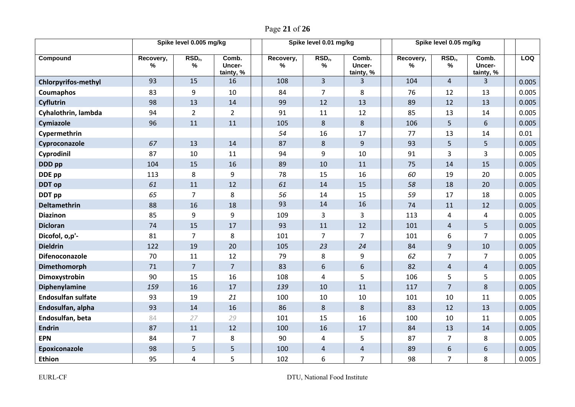|                            | Spike level 0.005 mg/kg |                         |                              |  | Spike level 0.01 mg/kg |                            | Spike level 0.05 mg/kg       |                |                         |                              |  |       |
|----------------------------|-------------------------|-------------------------|------------------------------|--|------------------------|----------------------------|------------------------------|----------------|-------------------------|------------------------------|--|-------|
| Compound                   | Recovery,<br>%          | RSD <sub>r</sub> ,<br>% | Comb.<br>Uncer-<br>tainty, % |  | Recovery,<br>%         | RSD <sub>r</sub> ,<br>$\%$ | Comb.<br>Uncer-<br>tainty, % | Recovery,<br>% | RSD <sub>r</sub> ,<br>% | Comb.<br>Uncer-<br>tainty, % |  | LOQ   |
| <b>Chlorpyrifos-methyl</b> | 93                      | 15                      | 16                           |  | 108                    | $\overline{3}$             | $\overline{3}$               | 104            | $\overline{4}$          | 3                            |  | 0.005 |
| Coumaphos                  | 83                      | 9                       | 10                           |  | 84                     | $\overline{7}$             | 8                            | 76             | 12                      | 13                           |  | 0.005 |
| <b>Cyflutrin</b>           | 98                      | 13                      | 14                           |  | 99                     | 12                         | 13                           | 89             | 12                      | 13                           |  | 0.005 |
| Cyhalothrin, lambda        | 94                      | $\overline{2}$          | $\overline{2}$               |  | 91                     | 11                         | 12                           | 85             | 13                      | 14                           |  | 0.005 |
| Cymiazole                  | 96                      | 11                      | 11                           |  | 105                    | $\,8\,$                    | 8                            | 106            | 5                       | 6                            |  | 0.005 |
| Cypermethrin               |                         |                         |                              |  | 54                     | 16                         | 17                           | 77             | 13                      | 14                           |  | 0.01  |
| Cyproconazole              | 67                      | 13                      | 14                           |  | 87                     | 8                          | 9                            | 93             | 5                       | 5                            |  | 0.005 |
| Cyprodinil                 | 87                      | 10                      | 11                           |  | 94                     | 9                          | 10                           | 91             | 3                       | 3                            |  | 0.005 |
| DDD pp                     | 104                     | 15                      | 16                           |  | 89                     | 10                         | 11                           | 75             | 14                      | 15                           |  | 0.005 |
| DDE pp                     | 113                     | 8                       | 9                            |  | 78                     | 15                         | 16                           | 60             | 19                      | 20                           |  | 0.005 |
| <b>DDT</b> op              | 61                      | 11                      | 12                           |  | 61                     | 14                         | 15                           | 58             | 18                      | 20                           |  | 0.005 |
| DDT pp                     | 65                      | $\overline{7}$          | 8                            |  | 56                     | 14                         | 15                           | 59             | 17                      | 18                           |  | 0.005 |
| Deltamethrin               | 88                      | 16                      | 18                           |  | 93                     | 14                         | 16                           | 74             | 11                      | 12                           |  | 0.005 |
| <b>Diazinon</b>            | 85                      | 9                       | $9\,$                        |  | 109                    | 3                          | 3                            | 113            | 4                       | 4                            |  | 0.005 |
| <b>Dicloran</b>            | 74                      | 15                      | 17                           |  | 93                     | 11                         | 12                           | 101            | $\overline{4}$          | 5                            |  | 0.005 |
| Dicofol, o,p'-             | 81                      | $\overline{7}$          | 8                            |  | 101                    | $\overline{7}$             | $\overline{7}$               | 101            | 6                       | $\overline{7}$               |  | 0.005 |
| <b>Dieldrin</b>            | 122                     | 19                      | 20                           |  | 105                    | 23                         | 24                           | 84             | $\overline{9}$          | $10\,$                       |  | 0.005 |
| Difenoconazole             | 70                      | 11                      | 12                           |  | 79                     | 8                          | 9                            | 62             | $\overline{7}$          | 7                            |  | 0.005 |
| Dimethomorph               | 71                      | $\overline{7}$          | $\overline{7}$               |  | 83                     | 6                          | 6                            | 82             | $\overline{4}$          | $\overline{4}$               |  | 0.005 |
| Dimoxystrobin              | 90                      | 15                      | 16                           |  | 108                    | 4                          | 5                            | 106            | 5                       | 5                            |  | 0.005 |
| Diphenylamine              | 159                     | 16                      | 17                           |  | 139                    | 10                         | 11                           | 117            | $\overline{7}$          | 8                            |  | 0.005 |
| <b>Endosulfan sulfate</b>  | 93                      | 19                      | 21                           |  | 100                    | 10                         | 10                           | 101            | 10                      | 11                           |  | 0.005 |
| Endosulfan, alpha          | 93                      | 14                      | 16                           |  | 86                     | $\,8\,$                    | 8                            | 83             | 12                      | 13                           |  | 0.005 |
| Endosulfan, beta           | 84                      | 27                      | 29                           |  | 101                    | 15                         | 16                           | 100            | 10                      | 11                           |  | 0.005 |
| <b>Endrin</b>              | 87                      | 11                      | 12                           |  | 100                    | 16                         | 17                           | 84             | 13                      | 14                           |  | 0.005 |
| <b>EPN</b>                 | 84                      | $\overline{7}$          | 8                            |  | 90                     | 4                          | 5                            | 87             | $\overline{7}$          | 8                            |  | 0.005 |
| Epoxiconazole              | 98                      | 5                       | 5                            |  | 100                    | 4                          | 4                            | 89             | $\boldsymbol{6}$        | 6                            |  | 0.005 |
| Ethion                     | 95                      | 4                       | 5                            |  | 102                    | 6                          | $\overline{7}$               | 98             | $\overline{7}$          | 8                            |  | 0.005 |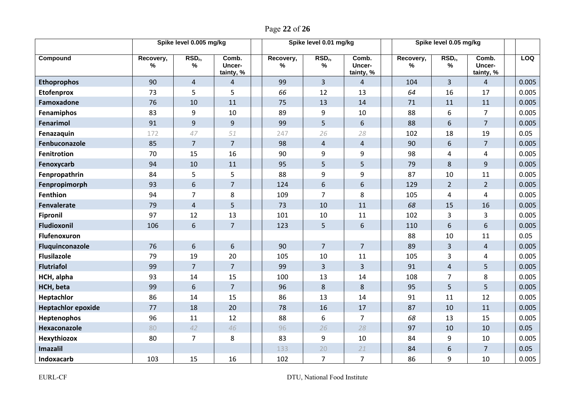Page **22** of **26**

|                           | Spike level 0.005 mg/kg |                            |                              |                   | Spike level 0.01 mg/kg     |                                     | Spike level 0.05 mg/kg |                            |                              |            |
|---------------------------|-------------------------|----------------------------|------------------------------|-------------------|----------------------------|-------------------------------------|------------------------|----------------------------|------------------------------|------------|
| Compound                  | Recovery,<br>$\%$       | RSD <sub>r</sub> ,<br>$\%$ | Comb.<br>Uncer-<br>tainty, % | Recovery,<br>$\%$ | RSD <sub>r</sub> ,<br>$\%$ | Comb.<br><b>Uncer-</b><br>tainty, % | Recovery,<br>$\%$      | RSD <sub>r</sub> ,<br>$\%$ | Comb.<br>Uncer-<br>tainty, % | <b>LOQ</b> |
| <b>Ethoprophos</b>        | 90                      | $\overline{4}$             | $\overline{4}$               | 99                | $\overline{3}$             | $\overline{4}$                      | 104                    | $\overline{3}$             | $\overline{4}$               | 0.005      |
| <b>Etofenprox</b>         | 73                      | 5                          | 5                            | 66                | 12                         | 13                                  | 64                     | 16                         | 17                           | 0.005      |
| Famoxadone                | 76                      | 10                         | 11                           | 75                | 13                         | 14                                  | 71                     | 11                         | 11                           | 0.005      |
| Fenamiphos                | 83                      | 9                          | 10                           | 89                | 9                          | 10                                  | 88                     | 6                          | $\overline{7}$               | 0.005      |
| Fenarimol                 | 91                      | 9                          | 9                            | 99                | 5                          | 6                                   | 88                     | $6\,$                      | $\overline{7}$               | 0.005      |
| Fenazaquin                | 172                     | 47                         | 51                           | 247               | 26                         | 28                                  | 102                    | 18                         | 19                           | 0.05       |
| Fenbuconazole             | 85                      | $\overline{7}$             | $\overline{7}$               | 98                | 4                          | $\overline{4}$                      | 90                     | $6\,$                      | $\overline{7}$               | 0.005      |
| <b>Fenitrotion</b>        | 70                      | 15                         | 16                           | 90                | 9                          | 9                                   | 98                     | $\overline{4}$             | 4                            | 0.005      |
| Fenoxycarb                | 94                      | 10                         | 11                           | 95                | 5                          | 5                                   | 79                     | 8                          | 9                            | 0.005      |
| Fenpropathrin             | 84                      | 5                          | 5                            | 88                | 9                          | 9                                   | 87                     | 10                         | 11                           | 0.005      |
| Fenpropimorph             | 93                      | 6                          | $\overline{7}$               | 124               | $6\phantom{1}$             | 6                                   | 129                    | $2^{\circ}$                | $2^{\circ}$                  | 0.005      |
| <b>Fenthion</b>           | 94                      | $\overline{7}$             | 8                            | 109               | $\overline{7}$             | 8                                   | 105                    | $\overline{4}$             | 4                            | 0.005      |
| <b>Fenvalerate</b>        | 79                      | $\overline{4}$             | 5                            | 73                | 10                         | 11                                  | 68                     | 15                         | 16                           | 0.005      |
| <b>Fipronil</b>           | 97                      | 12                         | 13                           | 101               | 10                         | 11                                  | 102                    | 3                          | 3                            | 0.005      |
| Fludioxonil               | 106                     | 6                          | $\overline{7}$               | 123               | 5                          | 6                                   | 110                    | 6                          | 6                            | 0.005      |
| <b>Flufenoxuron</b>       |                         |                            |                              |                   |                            |                                     | 88                     | 10                         | 11                           | 0.05       |
| Fluquinconazole           | 76                      | 6                          | 6                            | 90                | $\overline{7}$             | $\overline{7}$                      | 89                     | $\overline{3}$             | $\overline{4}$               | 0.005      |
| <b>Flusilazole</b>        | 79                      | 19                         | 20                           | 105               | 10                         | 11                                  | 105                    | 3                          | 4                            | 0.005      |
| <b>Flutriafol</b>         | 99                      | $\overline{7}$             | $\overline{7}$               | 99                | $\overline{3}$             | $\overline{3}$                      | 91                     | $\overline{4}$             | 5                            | 0.005      |
| HCH, alpha                | 93                      | 14                         | 15                           | 100               | 13                         | 14                                  | 108                    | $\overline{7}$             | 8                            | 0.005      |
| HCH, beta                 | 99                      | 6                          | $\overline{7}$               | 96                | 8                          | 8                                   | 95                     | 5                          | 5                            | 0.005      |
| Heptachlor                | 86                      | 14                         | 15                           | 86                | 13                         | 14                                  | 91                     | 11                         | 12                           | 0.005      |
| <b>Heptachlor epoxide</b> | 77                      | 18                         | 20                           | 78                | 16                         | 17                                  | 87                     | 10                         | 11                           | 0.005      |
| Heptenophos               | 96                      | 11                         | 12                           | 88                | 6                          | $\overline{7}$                      | 68                     | 13                         | 15                           | 0.005      |
| Hexaconazole              | 80                      | 42                         | 46                           | 96                | 26                         | 28                                  | 97                     | 10                         | 10                           | 0.05       |
| Hexythiozox               | 80                      | $\overline{7}$             | 8                            | 83                | 9                          | 10                                  | 84                     | 9                          | 10                           | 0.005      |
| Imazalil                  |                         |                            |                              | 133               | 20                         | 21                                  | 84                     | 6                          | $\overline{7}$               | 0.05       |
| Indoxacarb                | 103                     | 15                         | 16                           | 102               | $\overline{7}$             | $\overline{7}$                      | 86                     | 9                          | 10                           | 0.005      |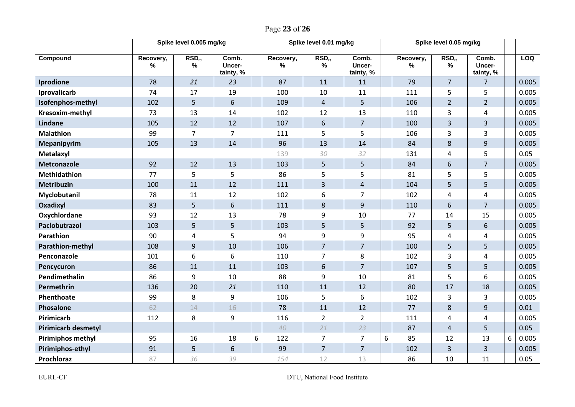|  |  | Page 23 of 26 |
|--|--|---------------|
|--|--|---------------|

|                            | Spike level 0.005 mg/kg |                            |                              |   | Spike level 0.01 mg/kg |                         |                              |   | Spike level 0.05 mg/kg |                            |                              |   |       |
|----------------------------|-------------------------|----------------------------|------------------------------|---|------------------------|-------------------------|------------------------------|---|------------------------|----------------------------|------------------------------|---|-------|
| Compound                   | Recovery,<br>%          | RSD <sub>r</sub> ,<br>$\%$ | Comb.<br>Uncer-<br>tainty, % |   | Recovery,<br>%         | RSD <sub>r</sub> ,<br>% | Comb.<br>Uncer-<br>tainty, % |   | Recovery,<br>$\%$      | RSD <sub>r</sub> ,<br>$\%$ | Comb.<br>Uncer-<br>tainty, % |   | LOQ   |
| Iprodione                  | 78                      | 21                         | 23                           |   | 87                     | 11                      | 11                           |   | 79                     | $\overline{7}$             | $\overline{7}$               |   | 0.005 |
| Iprovalicarb               | 74                      | 17                         | 19                           |   | 100                    | 10                      | 11                           |   | 111                    | 5                          | 5                            |   | 0.005 |
| Isofenphos-methyl          | 102                     | 5                          | $\sqrt{6}$                   |   | 109                    | $\overline{4}$          | 5                            |   | 106                    | $\overline{2}$             | $\overline{2}$               |   | 0.005 |
| Kresoxim-methyl            | 73                      | 13                         | 14                           |   | 102                    | 12                      | 13                           |   | 110                    | 3                          | 4                            |   | 0.005 |
| <b>Lindane</b>             | 105                     | 12                         | 12                           |   | 107                    | 6                       | $\overline{7}$               |   | 100                    | 3                          | 3                            |   | 0.005 |
| <b>Malathion</b>           | 99                      | $\overline{7}$             | $\overline{7}$               |   | 111                    | 5                       | 5                            |   | 106                    | 3                          | 3                            |   | 0.005 |
| <b>Mepanipyrim</b>         | 105                     | 13                         | 14                           |   | 96                     | 13                      | 14                           |   | 84                     | 8                          | 9                            |   | 0.005 |
| Metalaxyl                  |                         |                            |                              |   | 139                    | 30                      | 32                           |   | 131                    | $\overline{4}$             | 5                            |   | 0.05  |
| <b>Metconazole</b>         | 92                      | 12                         | 13                           |   | 103                    | 5                       | 5                            |   | 84                     | 6                          | $\overline{7}$               |   | 0.005 |
| <b>Methidathion</b>        | 77                      | 5                          | 5                            |   | 86                     | 5                       | 5                            |   | 81                     | 5                          | 5                            |   | 0.005 |
| <b>Metribuzin</b>          | 100                     | 11                         | 12                           |   | 111                    | 3                       | $\overline{4}$               |   | 104                    | 5                          | 5                            |   | 0.005 |
| Myclobutanil               | 78                      | 11                         | 12                           |   | 102                    | 6                       | $\overline{7}$               |   | 102                    | $\overline{4}$             | 4                            |   | 0.005 |
| Oxadixyl                   | 83                      | 5                          | $6\phantom{1}$               |   | 111                    | $\bf 8$                 | 9                            |   | 110                    | $6\,$                      | $\overline{7}$               |   | 0.005 |
| Oxychlordane               | 93                      | 12                         | 13                           |   | 78                     | 9                       | 10                           |   | 77                     | 14                         | 15                           |   | 0.005 |
| Paclobutrazol              | 103                     | 5                          | 5                            |   | 103                    | 5                       | 5                            |   | 92                     | 5                          | 6                            |   | 0.005 |
| Parathion                  | 90                      | $\overline{4}$             | 5                            |   | 94                     | 9                       | 9                            |   | 95                     | 4                          | 4                            |   | 0.005 |
| Parathion-methyl           | 108                     | $\overline{9}$             | 10                           |   | 106                    | $\overline{7}$          | $\overline{7}$               |   | 100                    | 5                          | 5                            |   | 0.005 |
| Penconazole                | 101                     | 6                          | 6                            |   | 110                    | 7                       | 8                            |   | 102                    | 3                          | 4                            |   | 0.005 |
| Pencycuron                 | 86                      | 11                         | 11                           |   | 103                    | $6\,$                   | $\overline{7}$               |   | 107                    | 5                          | 5                            |   | 0.005 |
| Pendimethalin              | 86                      | 9                          | 10                           |   | 88                     | 9                       | 10                           |   | 81                     | 5                          | 6                            |   | 0.005 |
| Permethrin                 | 136                     | 20                         | 21                           |   | 110                    | 11                      | 12                           |   | 80                     | 17                         | 18                           |   | 0.005 |
| Phenthoate                 | 99                      | 8                          | 9                            |   | 106                    | 5                       | 6                            |   | 102                    | 3                          | 3                            |   | 0.005 |
| Phosalone                  | 62                      | 14                         | 16                           |   | 78                     | 11                      | 12                           |   | 77                     | 8                          | $9\,$                        |   | 0.01  |
| <b>Pirimicarb</b>          | 112                     | 8                          | 9                            |   | 116                    | $\overline{2}$          | $\overline{2}$               |   | 111                    | 4                          | 4                            |   | 0.005 |
| <b>Pirimicarb desmetyl</b> |                         |                            |                              |   | 40                     | 21                      | 23                           |   | 87                     | $\overline{4}$             | 5                            |   | 0.05  |
| <b>Pirimiphos methyl</b>   | 95                      | 16                         | 18                           | 6 | 122                    | $\overline{7}$          | $\overline{7}$               | 6 | 85                     | 12                         | 13                           | 6 | 0.005 |
| <b>Pirimiphos-ethyl</b>    | 91                      | 5                          | $\boldsymbol{6}$             |   | 99                     | $\overline{7}$          | $\overline{7}$               |   | 102                    | $\overline{3}$             | 3                            |   | 0.005 |
| Prochloraz                 | 87                      | 36                         | 39                           |   | 154                    | 12                      | 13                           |   | 86                     | 10                         | 11                           |   | 0.05  |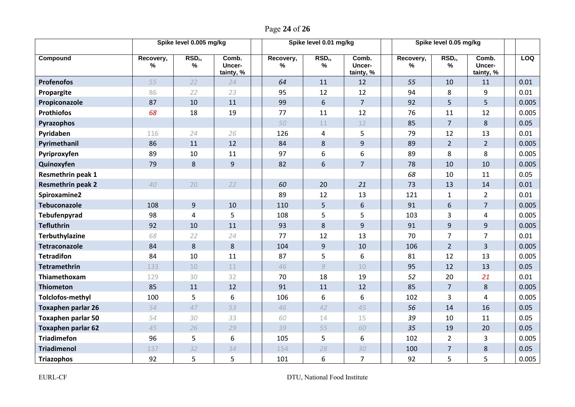|  |  |  | Page 24 of 26 |  |
|--|--|--|---------------|--|
|--|--|--|---------------|--|

|                           | Spike level 0.005 mg/kg |                         |                              |                            | Spike level 0.01 mg/kg  |                              |                |                                     | Spike level 0.05 mg/kg       |  |            |
|---------------------------|-------------------------|-------------------------|------------------------------|----------------------------|-------------------------|------------------------------|----------------|-------------------------------------|------------------------------|--|------------|
| Compound                  | Recovery,<br>%          | RSD <sub>r</sub> ,<br>% | Comb.<br>Uncer-<br>tainty, % | Recovery,<br>$\frac{9}{6}$ | RSD <sub>r</sub> ,<br>% | Comb.<br>Uncer-<br>tainty, % | Recovery,<br>% | RSD <sub>r</sub> ,<br>$\frac{1}{2}$ | Comb.<br>Uncer-<br>tainty, % |  | <b>LOQ</b> |
| <b>Profenofos</b>         | 55                      | 22                      | 24                           | 64                         | 11                      | 12                           | 55             | 10                                  | 11                           |  | 0.01       |
| Propargite                | 86                      | 22                      | 23                           | 95                         | 12                      | 12                           | 94             | 8                                   | 9                            |  | 0.01       |
| Propiconazole             | 87                      | 10                      | 11                           | 99                         | 6                       | $\overline{7}$               | 92             | 5                                   | 5                            |  | 0.005      |
| <b>Prothiofos</b>         | 68                      | 18                      | 19                           | 77                         | 11                      | 12                           | 76             | 11                                  | 12                           |  | 0.005      |
| Pyrazophos                |                         |                         |                              | 50                         | 11                      | 12                           | 85             | $\overline{7}$                      | 8                            |  | 0.05       |
| Pyridaben                 | 116                     | 24                      | 26                           | 126                        | 4                       | 5                            | 79             | 12                                  | 13                           |  | 0.01       |
| Pyrimethanil              | 86                      | 11                      | 12                           | 84                         | $\,8\,$                 | 9                            | 89             | $\overline{2}$                      | $\overline{2}$               |  | 0.005      |
| Pyriproxyfen              | 89                      | 10                      | 11                           | 97                         | 6                       | 6                            | 89             | 8                                   | 8                            |  | 0.005      |
| Quinoxyfen                | 79                      | 8                       | $\overline{9}$               | 82                         | 6                       | $\overline{7}$               | 78             | 10                                  | 10                           |  | 0.005      |
| Resmethrin peak 1         |                         |                         |                              |                            |                         |                              | 68             | 10                                  | 11                           |  | 0.05       |
| <b>Resmethrin peak 2</b>  | 40                      | 20                      | 22                           | 60                         | 20                      | 21                           | 73             | 13                                  | 14                           |  | 0.01       |
| Spiroxamine2              |                         |                         |                              | 89                         | 12                      | 13                           | 121            | $\mathbf{1}$                        | $\overline{2}$               |  | 0.01       |
| <b>Tebuconazole</b>       | 108                     | 9                       | 10                           | 110                        | 5                       | 6                            | 91             | $6\,$                               | $\overline{7}$               |  | 0.005      |
| Tebufenpyrad              | 98                      | $\overline{4}$          | 5                            | 108                        | 5                       | 5                            | 103            | 3                                   | 4                            |  | 0.005      |
| <b>Tefluthrin</b>         | 92                      | 10                      | 11                           | 93                         | 8                       | 9                            | 91             | 9                                   | $\overline{9}$               |  | 0.005      |
| <b>Terbuthylazine</b>     | 68                      | 22                      | 24                           | 77                         | 12                      | 13                           | 70             | $\overline{7}$                      | $\overline{7}$               |  | 0.01       |
| <b>Tetraconazole</b>      | 84                      | 8                       | 8                            | 104                        | $\overline{9}$          | 10                           | 106            | $\overline{2}$                      | $\overline{3}$               |  | 0.005      |
| <b>Tetradifon</b>         | 84                      | 10                      | 11                           | 87                         | 5                       | 6                            | 81             | 12                                  | 13                           |  | 0.005      |
| <b>Tetramethrin</b>       | 133                     | 10                      | 11                           | 46                         | 9                       | 10                           | 95             | 12                                  | 13                           |  | 0.05       |
| Thiamethoxam              | 129                     | 30                      | 32                           | 70                         | 18                      | 19                           | 52             | 20                                  | 21                           |  | 0.01       |
| <b>Thiometon</b>          | 85                      | 11                      | 12                           | 91                         | 11                      | 12                           | 85             | $\overline{7}$                      | 8                            |  | 0.005      |
| <b>Tolclofos-methyl</b>   | 100                     | 5                       | 6                            | 106                        | 6                       | 6                            | 102            | $\overline{3}$                      | 4                            |  | 0.005      |
| <b>Toxaphen parlar 26</b> | 54                      | 47                      | 53                           | 46                         | 42                      | 45                           | 56             | 14                                  | 16                           |  | 0.05       |
| <b>Toxaphen parlar 50</b> | 54                      | 30                      | 33                           | 60                         | 14                      | 15                           | 39             | 10                                  | 11                           |  | 0.05       |
| <b>Toxaphen parlar 62</b> | 45                      | 26                      | 29                           | 39                         | 55                      | 60                           | 35             | 19                                  | 20                           |  | 0.05       |
| <b>Triadimefon</b>        | 96                      | 5                       | 6                            | 105                        | 5                       | 6                            | 102            | $\overline{2}$                      | 3                            |  | 0.005      |
| <b>Triadimenol</b>        | 137                     | 32                      | 34                           | 154                        | 28                      | 30                           | 100            | $\overline{7}$                      | $\,8\,$                      |  | 0.05       |
| <b>Triazophos</b>         | 92                      | 5                       | 5                            | 101                        | 6                       | $\overline{7}$               | 92             | 5                                   | 5                            |  | 0.005      |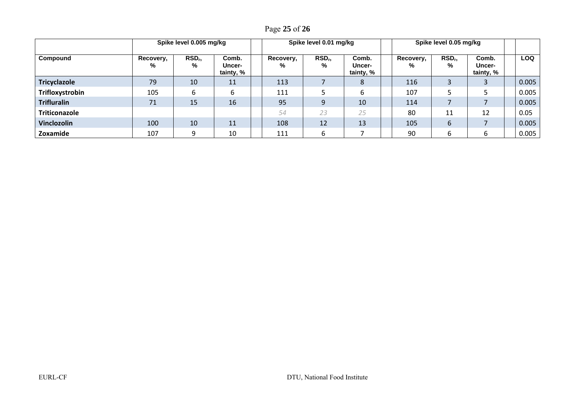Page **25** of **26**

|                     | Spike level 0.005 mg/kg |                         |                              |  |                | Spike level 0.01 mg/kg  |                                     | Spike level 0.05 mg/kg |                         |                              |  |            |
|---------------------|-------------------------|-------------------------|------------------------------|--|----------------|-------------------------|-------------------------------------|------------------------|-------------------------|------------------------------|--|------------|
| Compound            | Recovery,<br>%          | RSD <sub>r</sub> ,<br>% | Comb.<br>Uncer-<br>tainty, % |  | Recovery,<br>% | RSD <sub>r</sub> ,<br>% | Comb.<br><b>Uncer-</b><br>tainty, % | Recovery,<br>℅         | RSD <sub>r</sub> ,<br>% | Comb.<br>Uncer-<br>tainty, % |  | <b>LOQ</b> |
| <b>Tricyclazole</b> | 79                      | 10                      | 11                           |  | 113            |                         | 8                                   | 116                    |                         |                              |  | 0.005      |
| Trifloxystrobin     | 105                     | 6                       | 6                            |  | 111            |                         | 6                                   | 107                    |                         |                              |  | 0.005      |
| <b>Trifluralin</b>  | 71                      | 15                      | 16                           |  | 95             | 9                       | 10                                  | 114                    |                         |                              |  | 0.005      |
| Triticonazole       |                         |                         |                              |  | 54             | 23                      | 25                                  | 80                     | 11                      | 12                           |  | 0.05       |
| <b>Vinclozolin</b>  | 100                     | 10                      | 11                           |  | 108            | 12                      | 13                                  | 105                    | 6                       |                              |  | 0.005      |
| Zoxamide            | 107                     | ٩                       | 10                           |  | 111            | 6                       |                                     | 90                     | 6                       | b                            |  | 0.005      |